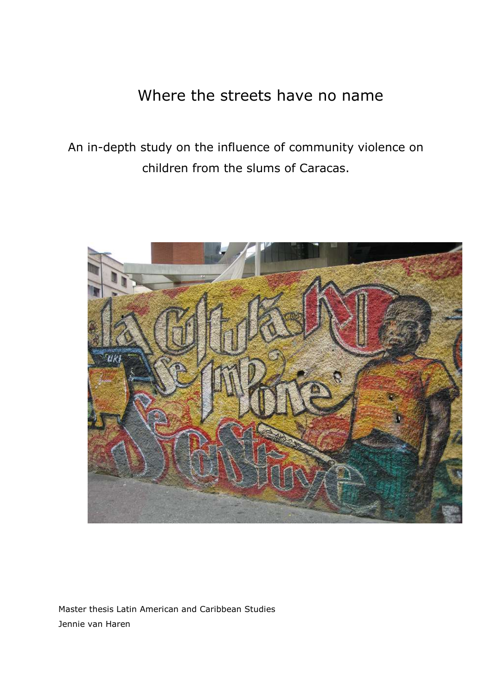# Where the streets have no name

An in-depth study on the influence of community violence on children from the slums of Caracas.



Master thesis Latin American and Caribbean Studies Jennie van Haren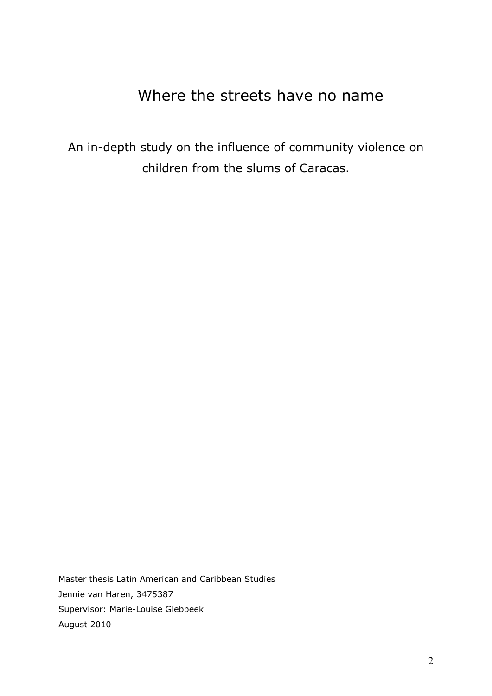# Where the streets have no name

An in-depth study on the influence of community violence on children from the slums of Caracas.

Master thesis Latin American and Caribbean Studies Jennie van Haren, 3475387 Supervisor: Marie-Louise Glebbeek August 2010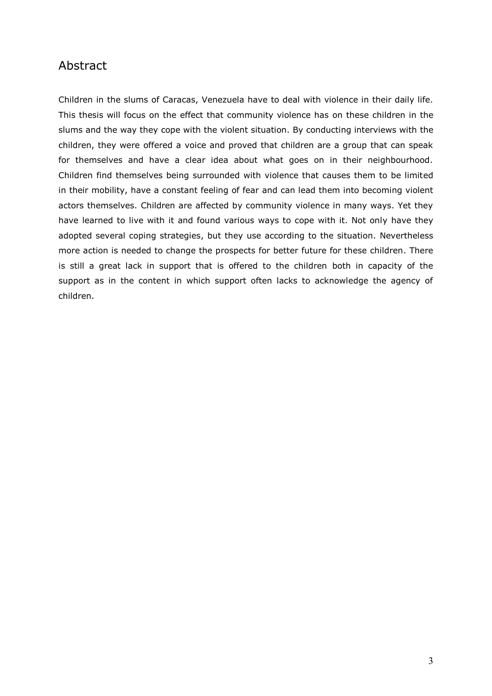# Abstract

Children in the slums of Caracas, Venezuela have to deal with violence in their daily life. This thesis will focus on the effect that community violence has on these children in the slums and the way they cope with the violent situation. By conducting interviews with the children, they were offered a voice and proved that children are a group that can speak for themselves and have a clear idea about what goes on in their neighbourhood. Children find themselves being surrounded with violence that causes them to be limited in their mobility, have a constant feeling of fear and can lead them into becoming violent actors themselves. Children are affected by community violence in many ways. Yet they have learned to live with it and found various ways to cope with it. Not only have they adopted several coping strategies, but they use according to the situation. Nevertheless more action is needed to change the prospects for better future for these children. There is still a great lack in support that is offered to the children both in capacity of the support as in the content in which support often lacks to acknowledge the agency of children.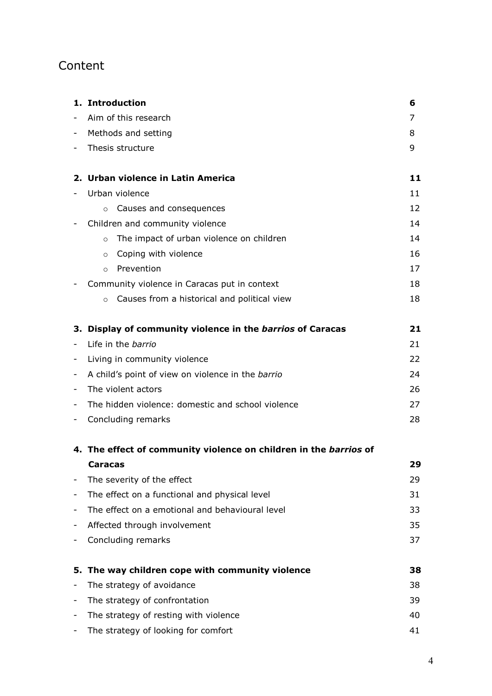# Content

|                              | 1. Introduction                                                   | 6  |
|------------------------------|-------------------------------------------------------------------|----|
|                              | Aim of this research                                              | 7  |
| -                            | Methods and setting                                               | 8  |
|                              | Thesis structure                                                  | 9  |
|                              | 2. Urban violence in Latin America                                | 11 |
|                              | Urban violence                                                    | 11 |
|                              | Causes and consequences<br>$\circ$                                | 12 |
| $\overline{\phantom{a}}$     | Children and community violence                                   | 14 |
|                              | The impact of urban violence on children<br>$\circ$               | 14 |
|                              | Coping with violence<br>$\circ$                                   | 16 |
|                              | Prevention<br>$\circ$                                             | 17 |
|                              | Community violence in Caracas put in context                      | 18 |
|                              | Causes from a historical and political view<br>$\circ$            | 18 |
|                              | 3. Display of community violence in the barrios of Caracas        | 21 |
|                              | Life in the barrio                                                | 21 |
|                              | Living in community violence                                      | 22 |
| -                            | A child's point of view on violence in the barrio                 | 24 |
| $\overline{a}$               | The violent actors                                                | 26 |
| $\overline{a}$               | The hidden violence: domestic and school violence                 | 27 |
| -                            | Concluding remarks                                                | 28 |
|                              | 4. The effect of community violence on children in the barrios of |    |
|                              | <b>Caracas</b>                                                    | 29 |
| $\qquad \qquad \blacksquare$ | The severity of the effect                                        | 29 |
| -                            | The effect on a functional and physical level                     | 31 |
| -                            | The effect on a emotional and behavioural level                   | 33 |
|                              | Affected through involvement                                      | 35 |
|                              | Concluding remarks                                                | 37 |
| 5.                           | The way children cope with community violence                     | 38 |
| -                            | The strategy of avoidance                                         | 38 |
| -                            | The strategy of confrontation                                     | 39 |
|                              | The strategy of resting with violence                             | 40 |
|                              | The strategy of looking for comfort                               | 41 |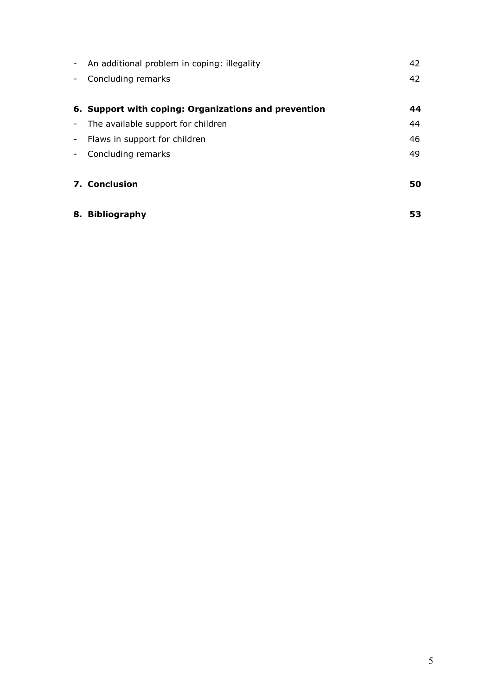|                          | - An additional problem in coping: illegality        | 42 |
|--------------------------|------------------------------------------------------|----|
| $\overline{\phantom{a}}$ | Concluding remarks                                   | 42 |
|                          | 6. Support with coping: Organizations and prevention | 44 |
|                          | - The available support for children                 | 44 |
|                          | - Flaws in support for children                      | 46 |
| $\sim$                   | Concluding remarks                                   | 49 |
|                          | <b>7. Conclusion</b>                                 | 50 |
|                          | 8. Bibliography                                      | 53 |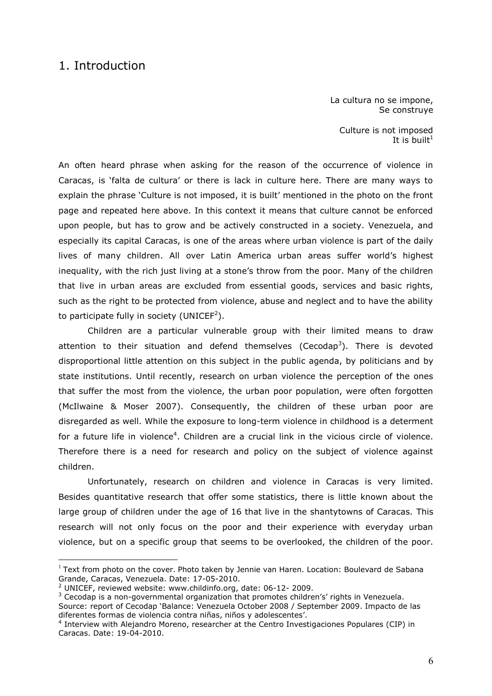## 1. Introduction

La cultura no se impone, Se construye

Culture is not imposed It is built<sup>1</sup>

An often heard phrase when asking for the reason of the occurrence of violence in Caracas, is "falta de cultura" or there is lack in culture here. There are many ways to explain the phrase 'Culture is not imposed, it is built' mentioned in the photo on the front page and repeated here above. In this context it means that culture cannot be enforced upon people, but has to grow and be actively constructed in a society. Venezuela, and especially its capital Caracas, is one of the areas where urban violence is part of the daily lives of many children. All over Latin America urban areas suffer world"s highest inequality, with the rich just living at a stone's throw from the poor. Many of the children that live in urban areas are excluded from essential goods, services and basic rights, such as the right to be protected from violence, abuse and neglect and to have the ability to participate fully in society (UNICEF<sup>2</sup>).

Children are a particular vulnerable group with their limited means to draw attention to their situation and defend themselves (Cecodap<sup>3</sup>). There is devoted disproportional little attention on this subject in the public agenda, by politicians and by state institutions. Until recently, research on urban violence the perception of the ones that suffer the most from the violence, the urban poor population, were often forgotten (McIlwaine & Moser 2007). Consequently, the children of these urban poor are disregarded as well. While the exposure to long-term violence in childhood is a determent for a future life in violence<sup>4</sup>. Children are a crucial link in the vicious circle of violence. Therefore there is a need for research and policy on the subject of violence against children.

Unfortunately, research on children and violence in Caracas is very limited. Besides quantitative research that offer some statistics, there is little known about the large group of children under the age of 16 that live in the shantytowns of Caracas. This research will not only focus on the poor and their experience with everyday urban violence, but on a specific group that seems to be overlooked, the children of the poor.

 $1$  Text from photo on the cover. Photo taken by Jennie van Haren. Location: Boulevard de Sabana Grande, Caracas, Venezuela. Date: 17-05-2010.

<sup>2</sup> UNICEF, reviewed website: www.childinfo.org, date: 06-12- 2009.

 $3$  Cecodap is a non-governmental organization that promotes children's' rights in Venezuela. Source: report of Cecodap "Balance: Venezuela October 2008 / September 2009. Impacto de las diferentes formas de violencia contra niñas, niños y adolescentes".

<sup>4</sup> Interview with Alejandro Moreno, researcher at the Centro Investigaciones Populares (CIP) in Caracas. Date: 19-04-2010.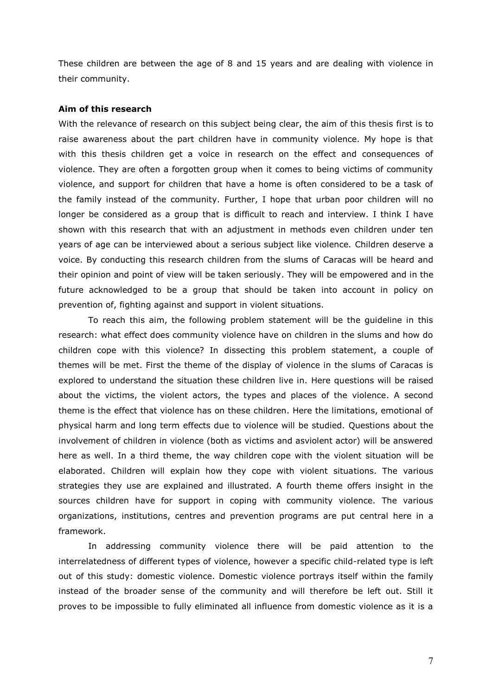These children are between the age of 8 and 15 years and are dealing with violence in their community.

### **Aim of this research**

With the relevance of research on this subject being clear, the aim of this thesis first is to raise awareness about the part children have in community violence. My hope is that with this thesis children get a voice in research on the effect and consequences of violence. They are often a forgotten group when it comes to being victims of community violence, and support for children that have a home is often considered to be a task of the family instead of the community. Further, I hope that urban poor children will no longer be considered as a group that is difficult to reach and interview. I think I have shown with this research that with an adjustment in methods even children under ten years of age can be interviewed about a serious subject like violence. Children deserve a voice. By conducting this research children from the slums of Caracas will be heard and their opinion and point of view will be taken seriously. They will be empowered and in the future acknowledged to be a group that should be taken into account in policy on prevention of, fighting against and support in violent situations.

To reach this aim, the following problem statement will be the guideline in this research: what effect does community violence have on children in the slums and how do children cope with this violence? In dissecting this problem statement, a couple of themes will be met. First the theme of the display of violence in the slums of Caracas is explored to understand the situation these children live in. Here questions will be raised about the victims, the violent actors, the types and places of the violence. A second theme is the effect that violence has on these children. Here the limitations, emotional of physical harm and long term effects due to violence will be studied. Questions about the involvement of children in violence (both as victims and asviolent actor) will be answered here as well. In a third theme, the way children cope with the violent situation will be elaborated. Children will explain how they cope with violent situations. The various strategies they use are explained and illustrated. A fourth theme offers insight in the sources children have for support in coping with community violence. The various organizations, institutions, centres and prevention programs are put central here in a framework.

In addressing community violence there will be paid attention to the interrelatedness of different types of violence, however a specific child-related type is left out of this study: domestic violence. Domestic violence portrays itself within the family instead of the broader sense of the community and will therefore be left out. Still it proves to be impossible to fully eliminated all influence from domestic violence as it is a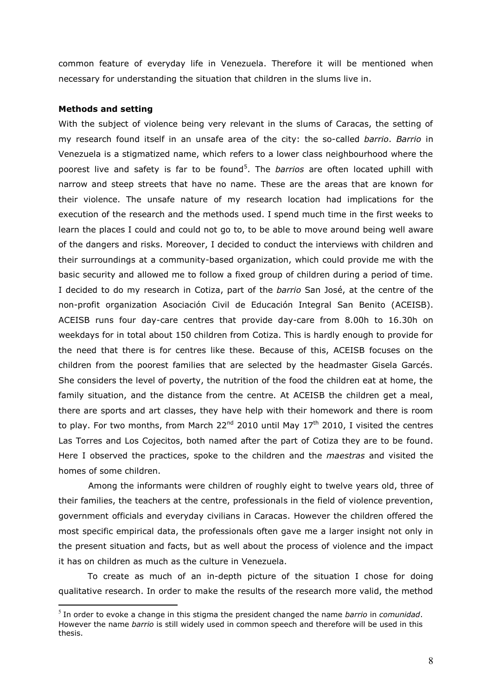common feature of everyday life in Venezuela. Therefore it will be mentioned when necessary for understanding the situation that children in the slums live in.

## **Methods and setting**

1

With the subject of violence being very relevant in the slums of Caracas, the setting of my research found itself in an unsafe area of the city: the so-called *barrio*. *Barrio* in Venezuela is a stigmatized name, which refers to a lower class neighbourhood where the poorest live and safety is far to be found<sup>5</sup>. The *barrios* are often located uphill with narrow and steep streets that have no name. These are the areas that are known for their violence. The unsafe nature of my research location had implications for the execution of the research and the methods used. I spend much time in the first weeks to learn the places I could and could not go to, to be able to move around being well aware of the dangers and risks. Moreover, I decided to conduct the interviews with children and their surroundings at a community-based organization, which could provide me with the basic security and allowed me to follow a fixed group of children during a period of time. I decided to do my research in Cotiza, part of the *barrio* San José, at the centre of the non-profit organization Asociación Civil de Educación Integral San Benito (ACEISB). ACEISB runs four day-care centres that provide day-care from 8.00h to 16.30h on weekdays for in total about 150 children from Cotiza. This is hardly enough to provide for the need that there is for centres like these. Because of this, ACEISB focuses on the children from the poorest families that are selected by the headmaster Gisela Garcés. She considers the level of poverty, the nutrition of the food the children eat at home, the family situation, and the distance from the centre. At ACEISB the children get a meal, there are sports and art classes, they have help with their homework and there is room to play. For two months, from March  $22^{nd}$  2010 until May  $17^{th}$  2010, I visited the centres Las Torres and Los Cojecitos, both named after the part of Cotiza they are to be found. Here I observed the practices, spoke to the children and the *maestras* and visited the homes of some children.

Among the informants were children of roughly eight to twelve years old, three of their families, the teachers at the centre, professionals in the field of violence prevention, government officials and everyday civilians in Caracas. However the children offered the most specific empirical data, the professionals often gave me a larger insight not only in the present situation and facts, but as well about the process of violence and the impact it has on children as much as the culture in Venezuela.

To create as much of an in-depth picture of the situation I chose for doing qualitative research. In order to make the results of the research more valid, the method

<sup>5</sup> In order to evoke a change in this stigma the president changed the name *barrio* in *comunidad*. However the name *barrio* is still widely used in common speech and therefore will be used in this thesis.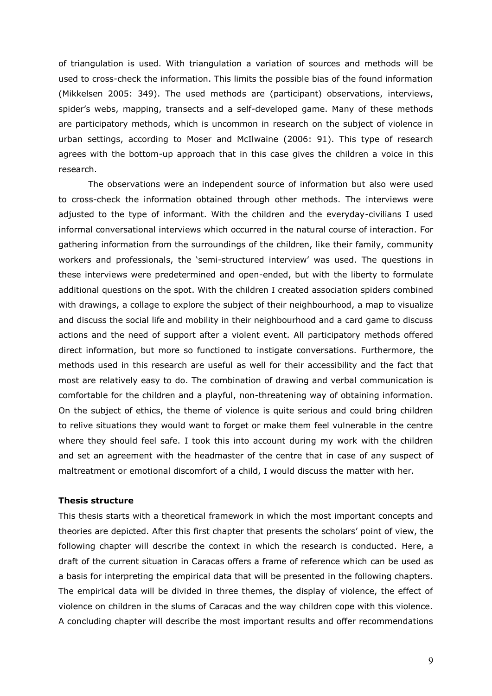of triangulation is used. With triangulation a variation of sources and methods will be used to cross-check the information. This limits the possible bias of the found information (Mikkelsen 2005: 349). The used methods are (participant) observations, interviews, spider"s webs, mapping, transects and a self-developed game. Many of these methods are participatory methods, which is uncommon in research on the subject of violence in urban settings, according to Moser and McIlwaine (2006: 91). This type of research agrees with the bottom-up approach that in this case gives the children a voice in this research.

The observations were an independent source of information but also were used to cross-check the information obtained through other methods. The interviews were adjusted to the type of informant. With the children and the everyday-civilians I used informal conversational interviews which occurred in the natural course of interaction. For gathering information from the surroundings of the children, like their family, community workers and professionals, the "semi-structured interview" was used. The questions in these interviews were predetermined and open-ended, but with the liberty to formulate additional questions on the spot. With the children I created association spiders combined with drawings, a collage to explore the subject of their neighbourhood, a map to visualize and discuss the social life and mobility in their neighbourhood and a card game to discuss actions and the need of support after a violent event. All participatory methods offered direct information, but more so functioned to instigate conversations. Furthermore, the methods used in this research are useful as well for their accessibility and the fact that most are relatively easy to do. The combination of drawing and verbal communication is comfortable for the children and a playful, non-threatening way of obtaining information. On the subject of ethics, the theme of violence is quite serious and could bring children to relive situations they would want to forget or make them feel vulnerable in the centre where they should feel safe. I took this into account during my work with the children and set an agreement with the headmaster of the centre that in case of any suspect of maltreatment or emotional discomfort of a child, I would discuss the matter with her.

## **Thesis structure**

This thesis starts with a theoretical framework in which the most important concepts and theories are depicted. After this first chapter that presents the scholars" point of view, the following chapter will describe the context in which the research is conducted. Here, a draft of the current situation in Caracas offers a frame of reference which can be used as a basis for interpreting the empirical data that will be presented in the following chapters. The empirical data will be divided in three themes, the display of violence, the effect of violence on children in the slums of Caracas and the way children cope with this violence. A concluding chapter will describe the most important results and offer recommendations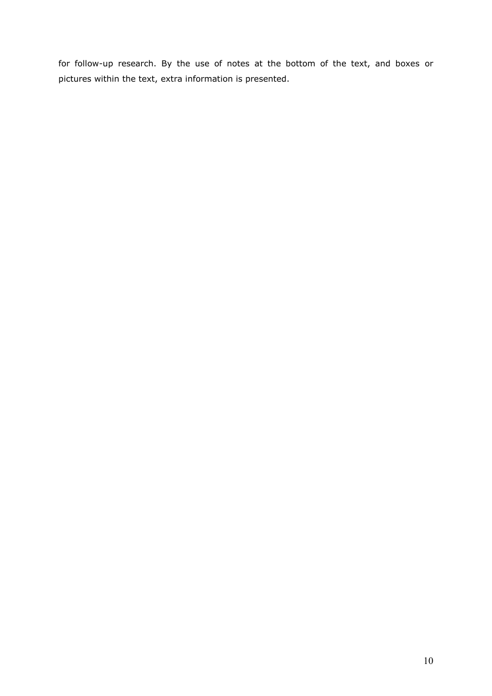for follow-up research. By the use of notes at the bottom of the text, and boxes or pictures within the text, extra information is presented.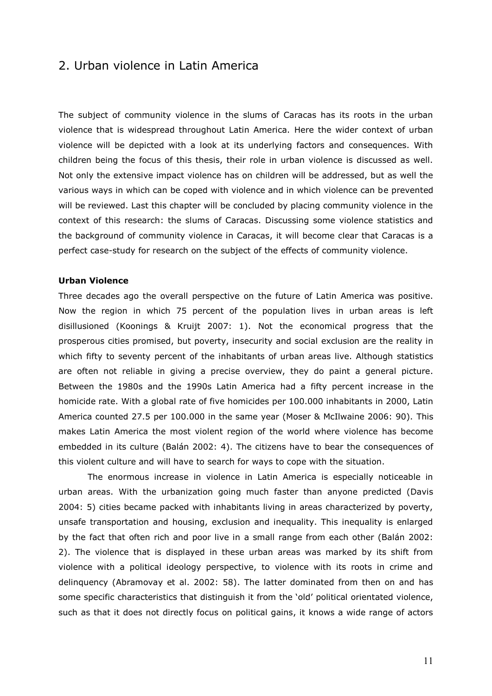## 2. Urban violence in Latin America

The subject of community violence in the slums of Caracas has its roots in the urban violence that is widespread throughout Latin America. Here the wider context of urban violence will be depicted with a look at its underlying factors and consequences. With children being the focus of this thesis, their role in urban violence is discussed as well. Not only the extensive impact violence has on children will be addressed, but as well the various ways in which can be coped with violence and in which violence can be prevented will be reviewed. Last this chapter will be concluded by placing community violence in the context of this research: the slums of Caracas. Discussing some violence statistics and the background of community violence in Caracas, it will become clear that Caracas is a perfect case-study for research on the subject of the effects of community violence.

## **Urban Violence**

Three decades ago the overall perspective on the future of Latin America was positive. Now the region in which 75 percent of the population lives in urban areas is left disillusioned (Koonings & Kruijt 2007: 1). Not the economical progress that the prosperous cities promised, but poverty, insecurity and social exclusion are the reality in which fifty to seventy percent of the inhabitants of urban areas live. Although statistics are often not reliable in giving a precise overview, they do paint a general picture. Between the 1980s and the 1990s Latin America had a fifty percent increase in the homicide rate. With a global rate of five homicides per 100.000 inhabitants in 2000, Latin America counted 27.5 per 100.000 in the same year (Moser & McIlwaine 2006: 90). This makes Latin America the most violent region of the world where violence has become embedded in its culture (Balán 2002: 4). The citizens have to bear the consequences of this violent culture and will have to search for ways to cope with the situation.

The enormous increase in violence in Latin America is especially noticeable in urban areas. With the urbanization going much faster than anyone predicted (Davis 2004: 5) cities became packed with inhabitants living in areas characterized by poverty, unsafe transportation and housing, exclusion and inequality. This inequality is enlarged by the fact that often rich and poor live in a small range from each other (Balán 2002: 2). The violence that is displayed in these urban areas was marked by its shift from violence with a political ideology perspective, to violence with its roots in crime and delinquency (Abramovay et al. 2002: 58). The latter dominated from then on and has some specific characteristics that distinguish it from the 'old' political orientated violence, such as that it does not directly focus on political gains, it knows a wide range of actors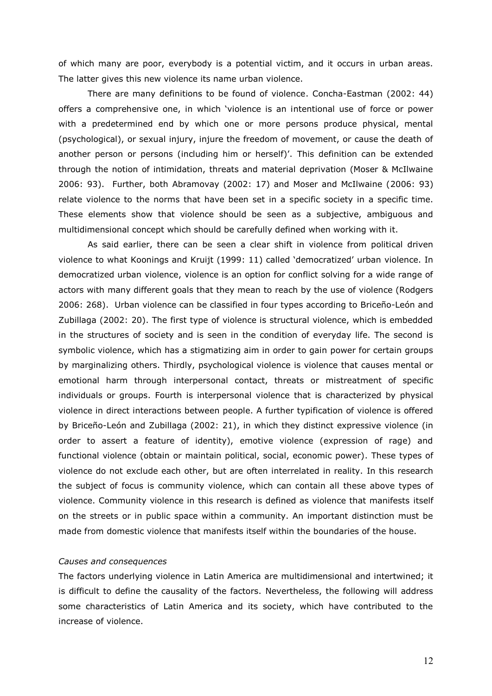of which many are poor, everybody is a potential victim, and it occurs in urban areas. The latter gives this new violence its name urban violence.

There are many definitions to be found of violence. Concha-Eastman (2002: 44) offers a comprehensive one, in which "violence is an intentional use of force or power with a predetermined end by which one or more persons produce physical, mental (psychological), or sexual injury, injure the freedom of movement, or cause the death of another person or persons (including him or herself)'. This definition can be extended through the notion of intimidation, threats and material deprivation (Moser & McIlwaine 2006: 93). Further, both Abramovay (2002: 17) and Moser and McIlwaine (2006: 93) relate violence to the norms that have been set in a specific society in a specific time. These elements show that violence should be seen as a subjective, ambiguous and multidimensional concept which should be carefully defined when working with it.

As said earlier, there can be seen a clear shift in violence from political driven violence to what Koonings and Kruijt (1999: 11) called "democratized" urban violence. In democratized urban violence, violence is an option for conflict solving for a wide range of actors with many different goals that they mean to reach by the use of violence (Rodgers 2006: 268). Urban violence can be classified in four types according to Briceño-León and Zubillaga (2002: 20). The first type of violence is structural violence, which is embedded in the structures of society and is seen in the condition of everyday life. The second is symbolic violence, which has a stigmatizing aim in order to gain power for certain groups by marginalizing others. Thirdly, psychological violence is violence that causes mental or emotional harm through interpersonal contact, threats or mistreatment of specific individuals or groups. Fourth is interpersonal violence that is characterized by physical violence in direct interactions between people. A further typification of violence is offered by Briceño-León and Zubillaga (2002: 21), in which they distinct expressive violence (in order to assert a feature of identity), emotive violence (expression of rage) and functional violence (obtain or maintain political, social, economic power). These types of violence do not exclude each other, but are often interrelated in reality. In this research the subject of focus is community violence, which can contain all these above types of violence. Community violence in this research is defined as violence that manifests itself on the streets or in public space within a community. An important distinction must be made from domestic violence that manifests itself within the boundaries of the house.

## *Causes and consequences*

The factors underlying violence in Latin America are multidimensional and intertwined; it is difficult to define the causality of the factors. Nevertheless, the following will address some characteristics of Latin America and its society, which have contributed to the increase of violence.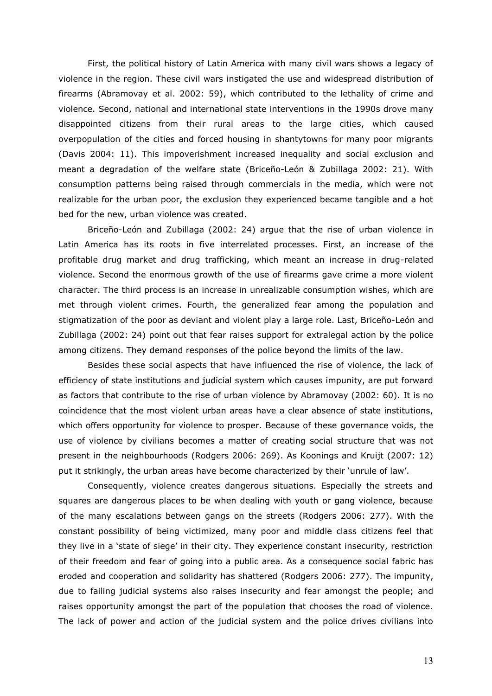First, the political history of Latin America with many civil wars shows a legacy of violence in the region. These civil wars instigated the use and widespread distribution of firearms (Abramovay et al. 2002: 59), which contributed to the lethality of crime and violence. Second, national and international state interventions in the 1990s drove many disappointed citizens from their rural areas to the large cities, which caused overpopulation of the cities and forced housing in shantytowns for many poor migrants (Davis 2004: 11). This impoverishment increased inequality and social exclusion and meant a degradation of the welfare state (Briceño-León & Zubillaga 2002: 21). With consumption patterns being raised through commercials in the media, which were not realizable for the urban poor, the exclusion they experienced became tangible and a hot bed for the new, urban violence was created.

Briceño-León and Zubillaga (2002: 24) argue that the rise of urban violence in Latin America has its roots in five interrelated processes. First, an increase of the profitable drug market and drug trafficking, which meant an increase in drug-related violence. Second the enormous growth of the use of firearms gave crime a more violent character. The third process is an increase in unrealizable consumption wishes, which are met through violent crimes. Fourth, the generalized fear among the population and stigmatization of the poor as deviant and violent play a large role. Last, Briceño-León and Zubillaga (2002: 24) point out that fear raises support for extralegal action by the police among citizens. They demand responses of the police beyond the limits of the law.

Besides these social aspects that have influenced the rise of violence, the lack of efficiency of state institutions and judicial system which causes impunity, are put forward as factors that contribute to the rise of urban violence by Abramovay (2002: 60). It is no coincidence that the most violent urban areas have a clear absence of state institutions, which offers opportunity for violence to prosper. Because of these governance voids, the use of violence by civilians becomes a matter of creating social structure that was not present in the neighbourhoods (Rodgers 2006: 269). As Koonings and Kruijt (2007: 12) put it strikingly, the urban areas have become characterized by their 'unrule of law'.

Consequently, violence creates dangerous situations. Especially the streets and squares are dangerous places to be when dealing with youth or gang violence, because of the many escalations between gangs on the streets (Rodgers 2006: 277). With the constant possibility of being victimized, many poor and middle class citizens feel that they live in a "state of siege" in their city. They experience constant insecurity, restriction of their freedom and fear of going into a public area. As a consequence social fabric has eroded and cooperation and solidarity has shattered (Rodgers 2006: 277). The impunity, due to failing judicial systems also raises insecurity and fear amongst the people; and raises opportunity amongst the part of the population that chooses the road of violence. The lack of power and action of the judicial system and the police drives civilians into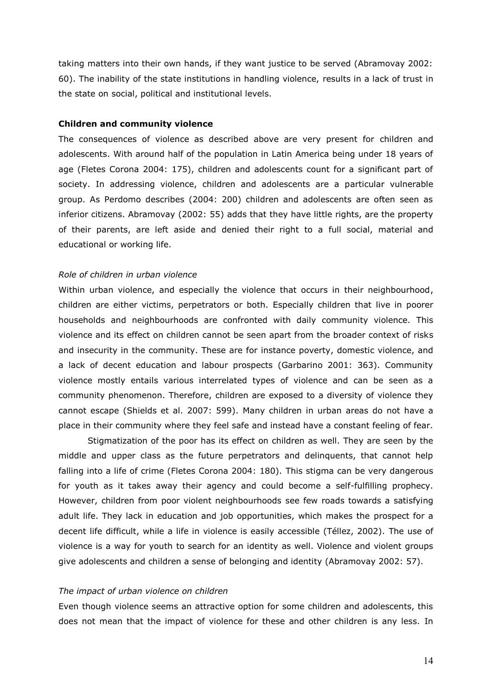taking matters into their own hands, if they want justice to be served (Abramovay 2002: 60). The inability of the state institutions in handling violence, results in a lack of trust in the state on social, political and institutional levels.

## **Children and community violence**

The consequences of violence as described above are very present for children and adolescents. With around half of the population in Latin America being under 18 years of age (Fletes Corona 2004: 175), children and adolescents count for a significant part of society. In addressing violence, children and adolescents are a particular vulnerable group. As Perdomo describes (2004: 200) children and adolescents are often seen as inferior citizens. Abramovay (2002: 55) adds that they have little rights, are the property of their parents, are left aside and denied their right to a full social, material and educational or working life.

## *Role of children in urban violence*

Within urban violence, and especially the violence that occurs in their neighbourhood, children are either victims, perpetrators or both. Especially children that live in poorer households and neighbourhoods are confronted with daily community violence. This violence and its effect on children cannot be seen apart from the broader context of risks and insecurity in the community. These are for instance poverty, domestic violence, and a lack of decent education and labour prospects (Garbarino 2001: 363). Community violence mostly entails various interrelated types of violence and can be seen as a community phenomenon. Therefore, children are exposed to a diversity of violence they cannot escape (Shields et al. 2007: 599). Many children in urban areas do not have a place in their community where they feel safe and instead have a constant feeling of fear.

Stigmatization of the poor has its effect on children as well. They are seen by the middle and upper class as the future perpetrators and delinquents, that cannot help falling into a life of crime (Fletes Corona 2004: 180). This stigma can be very dangerous for youth as it takes away their agency and could become a self-fulfilling prophecy. However, children from poor violent neighbourhoods see few roads towards a satisfying adult life. They lack in education and job opportunities, which makes the prospect for a decent life difficult, while a life in violence is easily accessible (Téllez, 2002). The use of violence is a way for youth to search for an identity as well. Violence and violent groups give adolescents and children a sense of belonging and identity (Abramovay 2002: 57).

## *The impact of urban violence on children*

Even though violence seems an attractive option for some children and adolescents, this does not mean that the impact of violence for these and other children is any less. In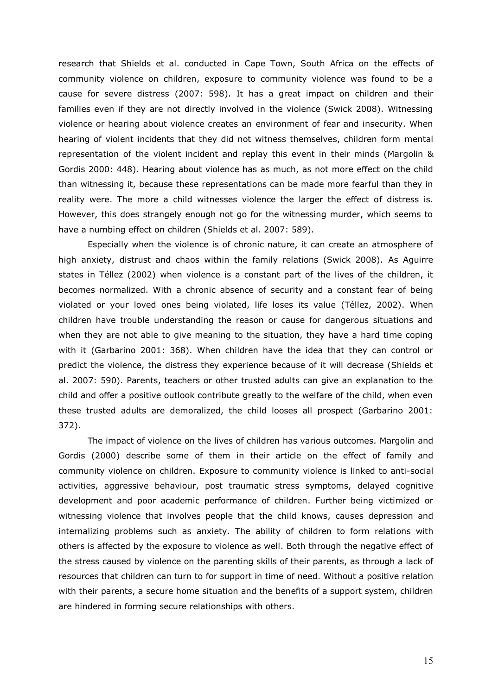research that Shields et al. conducted in Cape Town, South Africa on the effects of community violence on children, exposure to community violence was found to be a cause for severe distress (2007: 598). It has a great impact on children and their families even if they are not directly involved in the violence (Swick 2008). Witnessing violence or hearing about violence creates an environment of fear and insecurity. When hearing of violent incidents that they did not witness themselves, children form mental representation of the violent incident and replay this event in their minds (Margolin & Gordis 2000: 448). Hearing about violence has as much, as not more effect on the child than witnessing it, because these representations can be made more fearful than they in reality were. The more a child witnesses violence the larger the effect of distress is. However, this does strangely enough not go for the witnessing murder, which seems to have a numbing effect on children (Shields et al. 2007: 589).

Especially when the violence is of chronic nature, it can create an atmosphere of high anxiety, distrust and chaos within the family relations (Swick 2008). As Aguirre states in Téllez (2002) when violence is a constant part of the lives of the children, it becomes normalized. With a chronic absence of security and a constant fear of being violated or your loved ones being violated, life loses its value (Téllez, 2002). When children have trouble understanding the reason or cause for dangerous situations and when they are not able to give meaning to the situation, they have a hard time coping with it (Garbarino 2001: 368). When children have the idea that they can control or predict the violence, the distress they experience because of it will decrease (Shields et al. 2007: 590). Parents, teachers or other trusted adults can give an explanation to the child and offer a positive outlook contribute greatly to the welfare of the child, when even these trusted adults are demoralized, the child looses all prospect (Garbarino 2001: 372).

The impact of violence on the lives of children has various outcomes. Margolin and Gordis (2000) describe some of them in their article on the effect of family and community violence on children. Exposure to community violence is linked to anti-social activities, aggressive behaviour, post traumatic stress symptoms, delayed cognitive development and poor academic performance of children. Further being victimized or witnessing violence that involves people that the child knows, causes depression and internalizing problems such as anxiety. The ability of children to form relations with others is affected by the exposure to violence as well. Both through the negative effect of the stress caused by violence on the parenting skills of their parents, as through a lack of resources that children can turn to for support in time of need. Without a positive relation with their parents, a secure home situation and the benefits of a support system, children are hindered in forming secure relationships with others.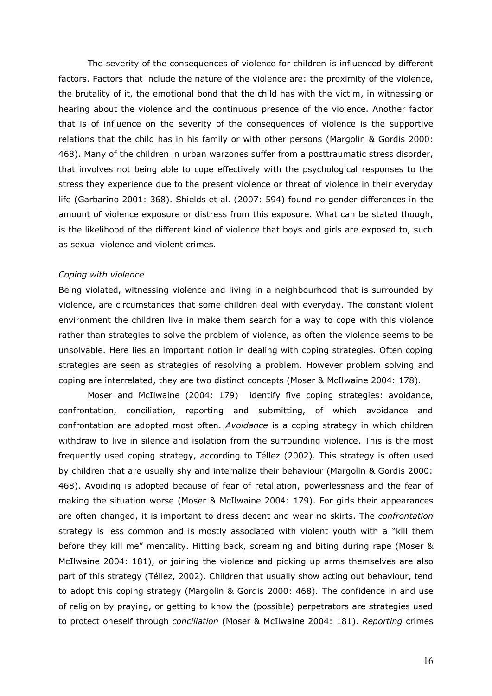The severity of the consequences of violence for children is influenced by different factors. Factors that include the nature of the violence are: the proximity of the violence, the brutality of it, the emotional bond that the child has with the victim, in witnessing or hearing about the violence and the continuous presence of the violence. Another factor that is of influence on the severity of the consequences of violence is the supportive relations that the child has in his family or with other persons (Margolin & Gordis 2000: 468). Many of the children in urban warzones suffer from a posttraumatic stress disorder, that involves not being able to cope effectively with the psychological responses to the stress they experience due to the present violence or threat of violence in their everyday life (Garbarino 2001: 368). Shields et al. (2007: 594) found no gender differences in the amount of violence exposure or distress from this exposure. What can be stated though, is the likelihood of the different kind of violence that boys and girls are exposed to, such as sexual violence and violent crimes.

### *Coping with violence*

Being violated, witnessing violence and living in a neighbourhood that is surrounded by violence, are circumstances that some children deal with everyday. The constant violent environment the children live in make them search for a way to cope with this violence rather than strategies to solve the problem of violence, as often the violence seems to be unsolvable. Here lies an important notion in dealing with coping strategies. Often coping strategies are seen as strategies of resolving a problem. However problem solving and coping are interrelated, they are two distinct concepts (Moser & McIlwaine 2004: 178).

Moser and McIlwaine (2004: 179) identify five coping strategies: avoidance, confrontation, conciliation, reporting and submitting, of which avoidance and confrontation are adopted most often. *Avoidance* is a coping strategy in which children withdraw to live in silence and isolation from the surrounding violence. This is the most frequently used coping strategy, according to Téllez (2002). This strategy is often used by children that are usually shy and internalize their behaviour (Margolin & Gordis 2000: 468). Avoiding is adopted because of fear of retaliation, powerlessness and the fear of making the situation worse (Moser & McIlwaine 2004: 179). For girls their appearances are often changed, it is important to dress decent and wear no skirts. The *confrontation* strategy is less common and is mostly associated with violent youth with a "kill them before they kill me" mentality. Hitting back, screaming and biting during rape (Moser & McIlwaine 2004: 181), or joining the violence and picking up arms themselves are also part of this strategy (Téllez, 2002). Children that usually show acting out behaviour, tend to adopt this coping strategy (Margolin & Gordis 2000: 468). The confidence in and use of religion by praying, or getting to know the (possible) perpetrators are strategies used to protect oneself through *conciliation* (Moser & McIlwaine 2004: 181). *Reporting* crimes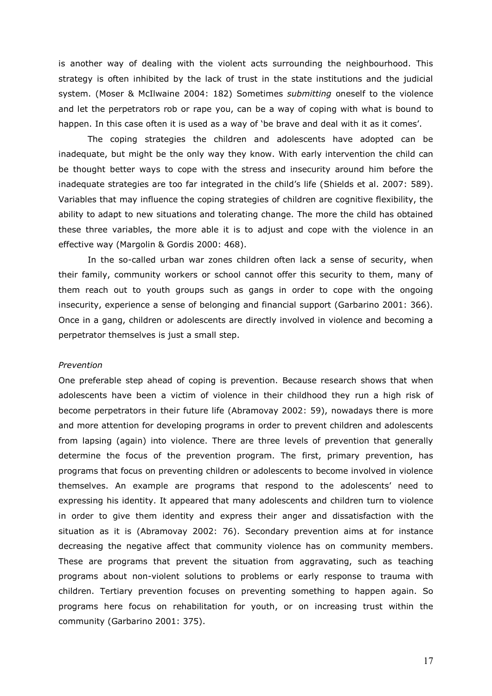is another way of dealing with the violent acts surrounding the neighbourhood. This strategy is often inhibited by the lack of trust in the state institutions and the judicial system. (Moser & McIlwaine 2004: 182) Sometimes *submitting* oneself to the violence and let the perpetrators rob or rape you, can be a way of coping with what is bound to happen. In this case often it is used as a way of 'be brave and deal with it as it comes'.

The coping strategies the children and adolescents have adopted can be inadequate, but might be the only way they know. With early intervention the child can be thought better ways to cope with the stress and insecurity around him before the inadequate strategies are too far integrated in the child's life (Shields et al. 2007: 589). Variables that may influence the coping strategies of children are cognitive flexibility, the ability to adapt to new situations and tolerating change. The more the child has obtained these three variables, the more able it is to adjust and cope with the violence in an effective way (Margolin & Gordis 2000: 468).

In the so-called urban war zones children often lack a sense of security, when their family, community workers or school cannot offer this security to them, many of them reach out to youth groups such as gangs in order to cope with the ongoing insecurity, experience a sense of belonging and financial support (Garbarino 2001: 366). Once in a gang, children or adolescents are directly involved in violence and becoming a perpetrator themselves is just a small step.

#### *Prevention*

One preferable step ahead of coping is prevention. Because research shows that when adolescents have been a victim of violence in their childhood they run a high risk of become perpetrators in their future life (Abramovay 2002: 59), nowadays there is more and more attention for developing programs in order to prevent children and adolescents from lapsing (again) into violence. There are three levels of prevention that generally determine the focus of the prevention program. The first, primary prevention, has programs that focus on preventing children or adolescents to become involved in violence themselves. An example are programs that respond to the adolescents" need to expressing his identity. It appeared that many adolescents and children turn to violence in order to give them identity and express their anger and dissatisfaction with the situation as it is (Abramovay 2002: 76). Secondary prevention aims at for instance decreasing the negative affect that community violence has on community members. These are programs that prevent the situation from aggravating, such as teaching programs about non-violent solutions to problems or early response to trauma with children. Tertiary prevention focuses on preventing something to happen again. So programs here focus on rehabilitation for youth, or on increasing trust within the community (Garbarino 2001: 375).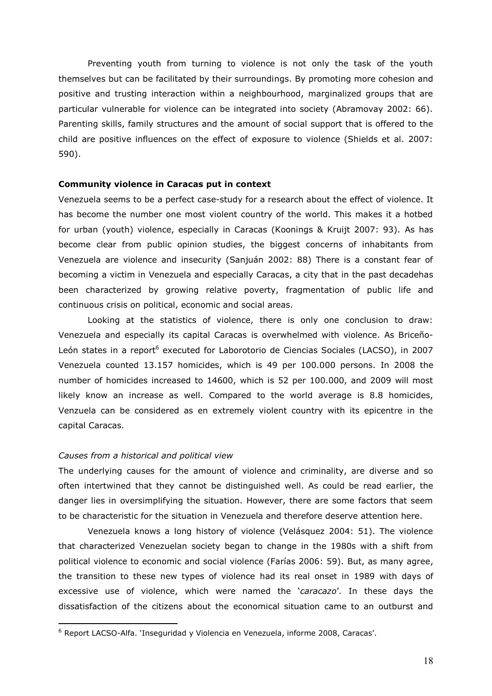Preventing youth from turning to violence is not only the task of the youth themselves but can be facilitated by their surroundings. By promoting more cohesion and positive and trusting interaction within a neighbourhood, marginalized groups that are particular vulnerable for violence can be integrated into society (Abramovay 2002: 66). Parenting skills, family structures and the amount of social support that is offered to the child are positive influences on the effect of exposure to violence (Shields et al. 2007: 590).

## **Community violence in Caracas put in context**

Venezuela seems to be a perfect case-study for a research about the effect of violence. It has become the number one most violent country of the world. This makes it a hotbed for urban (youth) violence, especially in Caracas (Koonings & Kruijt 2007: 93). As has become clear from public opinion studies, the biggest concerns of inhabitants from Venezuela are violence and insecurity (Sanjuán 2002: 88) There is a constant fear of becoming a victim in Venezuela and especially Caracas, a city that in the past decadehas been characterized by growing relative poverty, fragmentation of public life and continuous crisis on political, economic and social areas.

Looking at the statistics of violence, there is only one conclusion to draw: Venezuela and especially its capital Caracas is overwhelmed with violence. As Briceño-León states in a report<sup>6</sup> executed for Laborotorio de Ciencias Sociales (LACSO), in 2007 Venezuela counted 13.157 homicides, which is 49 per 100.000 persons. In 2008 the number of homicides increased to 14600, which is 52 per 100.000, and 2009 will most likely know an increase as well. Compared to the world average is 8.8 homicides, Venzuela can be considered as en extremely violent country with its epicentre in the capital Caracas.

## *Causes from a historical and political view*

<u>.</u>

The underlying causes for the amount of violence and criminality, are diverse and so often intertwined that they cannot be distinguished well. As could be read earlier, the danger lies in oversimplifying the situation. However, there are some factors that seem to be characteristic for the situation in Venezuela and therefore deserve attention here.

Venezuela knows a long history of violence (Velásquez 2004: 51). The violence that characterized Venezuelan society began to change in the 1980s with a shift from political violence to economic and social violence (Farías 2006: 59). But, as many agree, the transition to these new types of violence had its real onset in 1989 with days of excessive use of violence, which were named the "*caracazo*". In these days the dissatisfaction of the citizens about the economical situation came to an outburst and

<sup>&</sup>lt;sup>6</sup> Report LACSO-Alfa. 'Inseguridad y Violencia en Venezuela, informe 2008, Caracas'.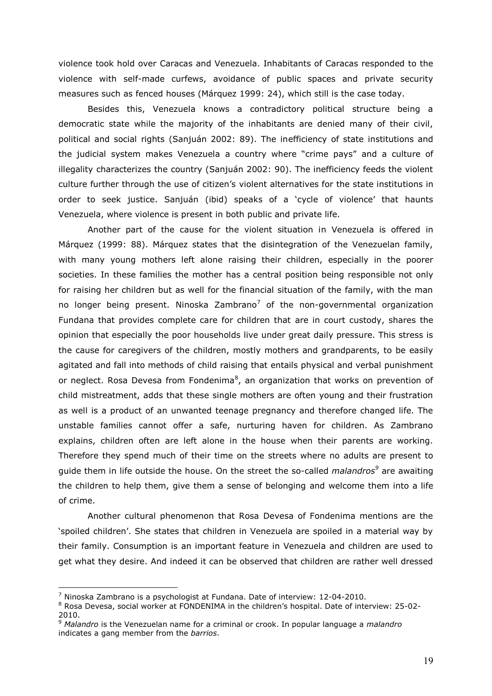violence took hold over Caracas and Venezuela. Inhabitants of Caracas responded to the violence with self-made curfews, avoidance of public spaces and private security measures such as fenced houses (Márquez 1999: 24), which still is the case today.

Besides this, Venezuela knows a contradictory political structure being a democratic state while the majority of the inhabitants are denied many of their civil, political and social rights (Sanjuán 2002: 89). The inefficiency of state institutions and the judicial system makes Venezuela a country where "crime pays" and a culture of illegality characterizes the country (Sanjuán 2002: 90). The inefficiency feeds the violent culture further through the use of citizen"s violent alternatives for the state institutions in order to seek justice. Sanjuán (ibid) speaks of a "cycle of violence" that haunts Venezuela, where violence is present in both public and private life.

Another part of the cause for the violent situation in Venezuela is offered in Márquez (1999: 88). Márquez states that the disintegration of the Venezuelan family, with many young mothers left alone raising their children, especially in the poorer societies. In these families the mother has a central position being responsible not only for raising her children but as well for the financial situation of the family, with the man no longer being present. Ninoska Zambrano<sup>7</sup> of the non-governmental organization Fundana that provides complete care for children that are in court custody, shares the opinion that especially the poor households live under great daily pressure. This stress is the cause for caregivers of the children, mostly mothers and grandparents, to be easily agitated and fall into methods of child raising that entails physical and verbal punishment or neglect. Rosa Devesa from Fondenima<sup>8</sup>, an organization that works on prevention of child mistreatment, adds that these single mothers are often young and their frustration as well is a product of an unwanted teenage pregnancy and therefore changed life. The unstable families cannot offer a safe, nurturing haven for children. As Zambrano explains, children often are left alone in the house when their parents are working. Therefore they spend much of their time on the streets where no adults are present to guide them in life outside the house. On the street the so-called *malandros<sup>9</sup>* are awaiting the children to help them, give them a sense of belonging and welcome them into a life of crime.

Another cultural phenomenon that Rosa Devesa of Fondenima mentions are the "spoiled children". She states that children in Venezuela are spoiled in a material way by their family. Consumption is an important feature in Venezuela and children are used to get what they desire. And indeed it can be observed that children are rather well dressed

 $^7$  Ninoska Zambrano is a psychologist at Fundana. Date of interview: 12-04-2010.

<sup>8</sup> Rosa Devesa, social worker at FONDENIMA in the children's hospital. Date of interview: 25-02-2010.

<sup>9</sup> *Malandro* is the Venezuelan name for a criminal or crook. In popular language a *malandro* indicates a gang member from the *barrios*.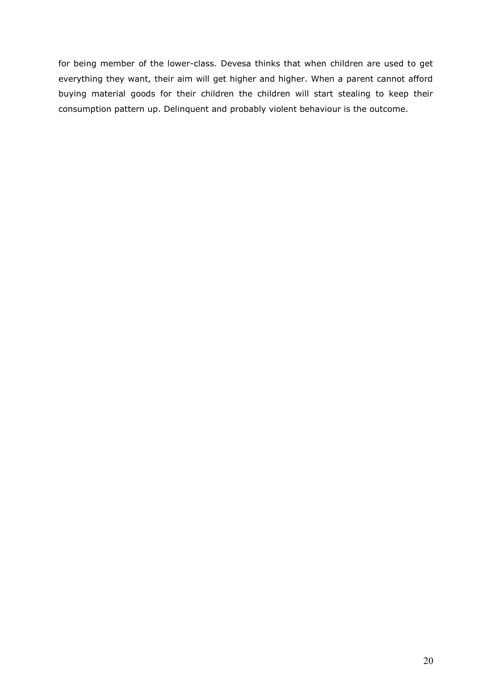for being member of the lower-class. Devesa thinks that when children are used to get everything they want, their aim will get higher and higher. When a parent cannot afford buying material goods for their children the children will start stealing to keep their consumption pattern up. Delinquent and probably violent behaviour is the outcome.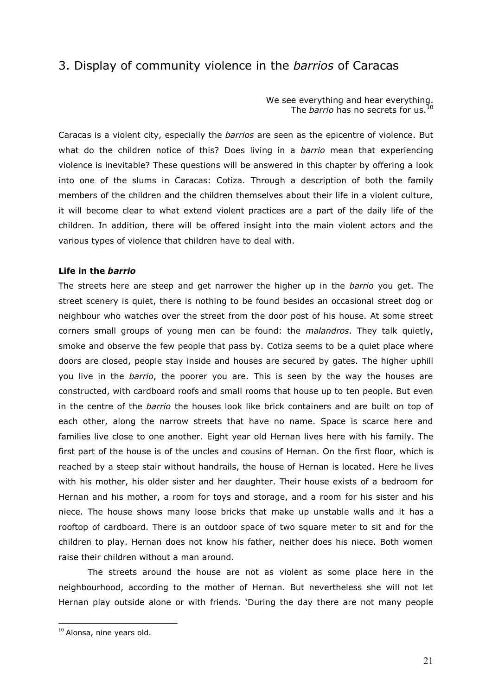# 3. Display of community violence in the *barrios* of Caracas

We see everything and hear everything. The *barrio* has no secrets for us.<sup>10</sup>

Caracas is a violent city, especially the *barrios* are seen as the epicentre of violence. But what do the children notice of this? Does living in a *barrio* mean that experiencing violence is inevitable? These questions will be answered in this chapter by offering a look into one of the slums in Caracas: Cotiza. Through a description of both the family members of the children and the children themselves about their life in a violent culture, it will become clear to what extend violent practices are a part of the daily life of the children. In addition, there will be offered insight into the main violent actors and the various types of violence that children have to deal with.

## **Life in the** *barrio*

The streets here are steep and get narrower the higher up in the *barrio* you get. The street scenery is quiet, there is nothing to be found besides an occasional street dog or neighbour who watches over the street from the door post of his house. At some street corners small groups of young men can be found: the *malandros*. They talk quietly, smoke and observe the few people that pass by. Cotiza seems to be a quiet place where doors are closed, people stay inside and houses are secured by gates. The higher uphill you live in the *barrio*, the poorer you are. This is seen by the way the houses are constructed, with cardboard roofs and small rooms that house up to ten people. But even in the centre of the *barrio* the houses look like brick containers and are built on top of each other, along the narrow streets that have no name. Space is scarce here and families live close to one another. Eight year old Hernan lives here with his family. The first part of the house is of the uncles and cousins of Hernan. On the first floor, which is reached by a steep stair without handrails, the house of Hernan is located. Here he lives with his mother, his older sister and her daughter. Their house exists of a bedroom for Hernan and his mother, a room for toys and storage, and a room for his sister and his niece. The house shows many loose bricks that make up unstable walls and it has a rooftop of cardboard. There is an outdoor space of two square meter to sit and for the children to play. Hernan does not know his father, neither does his niece. Both women raise their children without a man around.

The streets around the house are not as violent as some place here in the neighbourhood, according to the mother of Hernan. But nevertheless she will not let Hernan play outside alone or with friends. "During the day there are not many people

 $10$  Alonsa, nine years old.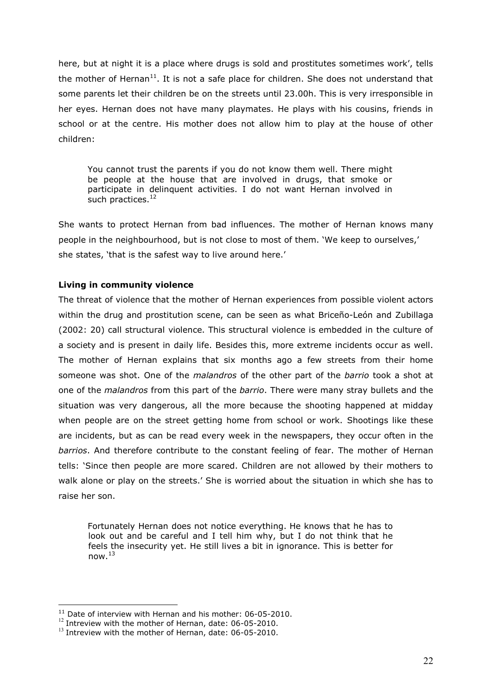here, but at night it is a place where drugs is sold and prostitutes sometimes work', tells the mother of Hernan<sup>11</sup>. It is not a safe place for children. She does not understand that some parents let their children be on the streets until 23.00h. This is very irresponsible in her eyes. Hernan does not have many playmates. He plays with his cousins, friends in school or at the centre. His mother does not allow him to play at the house of other children:

You cannot trust the parents if you do not know them well. There might be people at the house that are involved in drugs, that smoke or participate in delinquent activities. I do not want Hernan involved in such practices.<sup>12</sup>

She wants to protect Hernan from bad influences. The mother of Hernan knows many people in the neighbourhood, but is not close to most of them. "We keep to ourselves," she states, 'that is the safest way to live around here.'

## **Living in community violence**

The threat of violence that the mother of Hernan experiences from possible violent actors within the drug and prostitution scene, can be seen as what Briceño-León and Zubillaga (2002: 20) call structural violence. This structural violence is embedded in the culture of a society and is present in daily life. Besides this, more extreme incidents occur as well. The mother of Hernan explains that six months ago a few streets from their home someone was shot. One of the *malandros* of the other part of the *barrio* took a shot at one of the *malandros* from this part of the *barrio*. There were many stray bullets and the situation was very dangerous, all the more because the shooting happened at midday when people are on the street getting home from school or work. Shootings like these are incidents, but as can be read every week in the newspapers, they occur often in the *barrios*. And therefore contribute to the constant feeling of fear. The mother of Hernan tells: "Since then people are more scared. Children are not allowed by their mothers to walk alone or play on the streets.' She is worried about the situation in which she has to raise her son.

Fortunately Hernan does not notice everything. He knows that he has to look out and be careful and I tell him why, but I do not think that he feels the insecurity yet. He still lives a bit in ignorance. This is better for now. $13$ 

<u>.</u>

<sup>&</sup>lt;sup>11</sup> Date of interview with Hernan and his mother: 06-05-2010.

<sup>&</sup>lt;sup>12</sup> Intreview with the mother of Hernan, date: 06-05-2010.

 $^{13}$  Intreview with the mother of Hernan, date: 06-05-2010.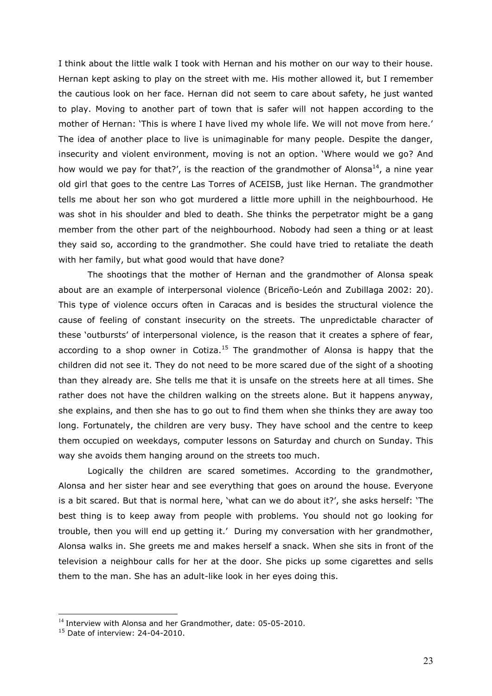I think about the little walk I took with Hernan and his mother on our way to their house. Hernan kept asking to play on the street with me. His mother allowed it, but I remember the cautious look on her face. Hernan did not seem to care about safety, he just wanted to play. Moving to another part of town that is safer will not happen according to the mother of Hernan: 'This is where I have lived my whole life. We will not move from here.' The idea of another place to live is unimaginable for many people. Despite the danger, insecurity and violent environment, moving is not an option. "Where would we go? And how would we pay for that?', is the reaction of the grandmother of Alonsa<sup>14</sup>, a nine year old girl that goes to the centre Las Torres of ACEISB, just like Hernan. The grandmother tells me about her son who got murdered a little more uphill in the neighbourhood. He was shot in his shoulder and bled to death. She thinks the perpetrator might be a gang member from the other part of the neighbourhood. Nobody had seen a thing or at least they said so, according to the grandmother. She could have tried to retaliate the death with her family, but what good would that have done?

The shootings that the mother of Hernan and the grandmother of Alonsa speak about are an example of interpersonal violence (Briceño-León and Zubillaga 2002: 20). This type of violence occurs often in Caracas and is besides the structural violence the cause of feeling of constant insecurity on the streets. The unpredictable character of these "outbursts" of interpersonal violence, is the reason that it creates a sphere of fear, according to a shop owner in Cotiza.<sup>15</sup> The grandmother of Alonsa is happy that the children did not see it. They do not need to be more scared due of the sight of a shooting than they already are. She tells me that it is unsafe on the streets here at all times. She rather does not have the children walking on the streets alone. But it happens anyway, she explains, and then she has to go out to find them when she thinks they are away too long. Fortunately, the children are very busy. They have school and the centre to keep them occupied on weekdays, computer lessons on Saturday and church on Sunday. This way she avoids them hanging around on the streets too much.

Logically the children are scared sometimes. According to the grandmother, Alonsa and her sister hear and see everything that goes on around the house. Everyone is a bit scared. But that is normal here, "what can we do about it?", she asks herself: "The best thing is to keep away from people with problems. You should not go looking for trouble, then you will end up getting it." During my conversation with her grandmother, Alonsa walks in. She greets me and makes herself a snack. When she sits in front of the television a neighbour calls for her at the door. She picks up some cigarettes and sells them to the man. She has an adult-like look in her eyes doing this.

<sup>&</sup>lt;sup>14</sup> Interview with Alonsa and her Grandmother, date: 05-05-2010.

 $15$  Date of interview: 24-04-2010.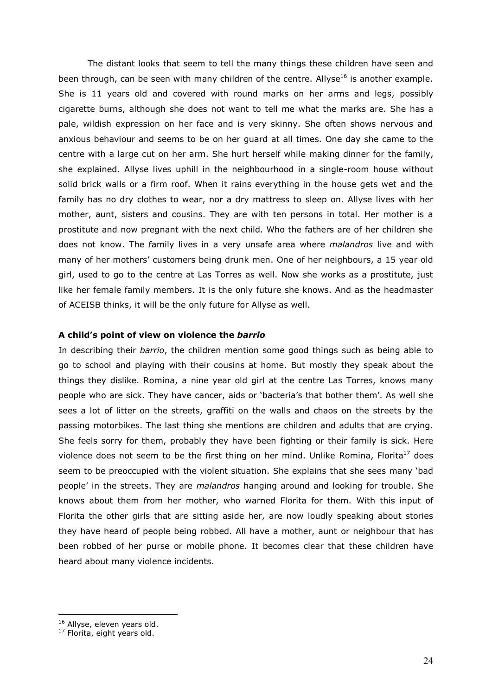The distant looks that seem to tell the many things these children have seen and been through, can be seen with many children of the centre. Allyse<sup>16</sup> is another example. She is 11 years old and covered with round marks on her arms and legs, possibly cigarette burns, although she does not want to tell me what the marks are. She has a pale, wildish expression on her face and is very skinny. She often shows nervous and anxious behaviour and seems to be on her guard at all times. One day she came to the centre with a large cut on her arm. She hurt herself while making dinner for the family, she explained. Allyse lives uphill in the neighbourhood in a single-room house without solid brick walls or a firm roof. When it rains everything in the house gets wet and the family has no dry clothes to wear, nor a dry mattress to sleep on. Allyse lives with her mother, aunt, sisters and cousins. They are with ten persons in total. Her mother is a prostitute and now pregnant with the next child. Who the fathers are of her children she does not know. The family lives in a very unsafe area where *malandros* live and with many of her mothers" customers being drunk men. One of her neighbours, a 15 year old girl, used to go to the centre at Las Torres as well. Now she works as a prostitute, just like her female family members. It is the only future she knows. And as the headmaster of ACEISB thinks, it will be the only future for Allyse as well.

## **A child's point of view on violence the** *barrio*

In describing their *barrio*, the children mention some good things such as being able to go to school and playing with their cousins at home. But mostly they speak about the things they dislike. Romina, a nine year old girl at the centre Las Torres, knows many people who are sick. They have cancer, aids or "bacteria"s that bother them". As well she sees a lot of litter on the streets, graffiti on the walls and chaos on the streets by the passing motorbikes. The last thing she mentions are children and adults that are crying. She feels sorry for them, probably they have been fighting or their family is sick. Here violence does not seem to be the first thing on her mind. Unlike Romina, Florita<sup>17</sup> does seem to be preoccupied with the violent situation. She explains that she sees many "bad people" in the streets. They are *malandros* hanging around and looking for trouble. She knows about them from her mother, who warned Florita for them. With this input of Florita the other girls that are sitting aside her, are now loudly speaking about stories they have heard of people being robbed. All have a mother, aunt or neighbour that has been robbed of her purse or mobile phone. It becomes clear that these children have heard about many violence incidents.

<u>.</u>

<sup>&</sup>lt;sup>16</sup> Allyse, eleven years old.

 $17$  Florita, eight years old.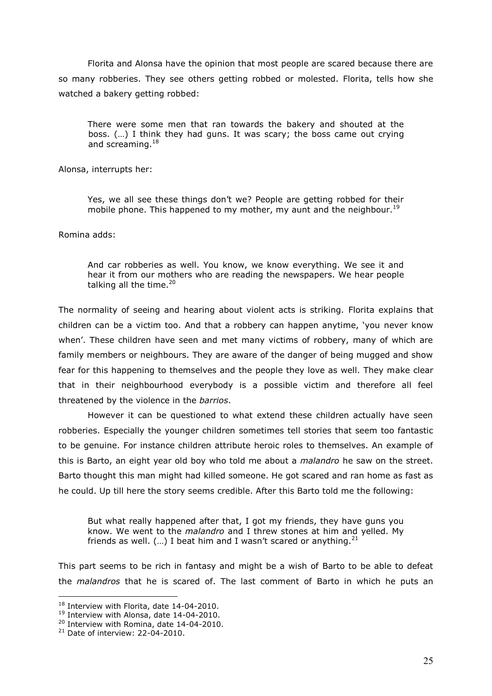Florita and Alonsa have the opinion that most people are scared because there are so many robberies. They see others getting robbed or molested. Florita, tells how she watched a bakery getting robbed:

There were some men that ran towards the bakery and shouted at the boss. (…) I think they had guns. It was scary; the boss came out crying and screaming.<sup>18</sup>

Alonsa, interrupts her:

Yes, we all see these things don"t we? People are getting robbed for their mobile phone. This happened to my mother, my aunt and the neighbour.<sup>19</sup>

Romina adds:

And car robberies as well. You know, we know everything. We see it and hear it from our mothers who are reading the newspapers. We hear people talking all the time. $20$ 

The normality of seeing and hearing about violent acts is striking. Florita explains that children can be a victim too. And that a robbery can happen anytime, "you never know when'. These children have seen and met many victims of robbery, many of which are family members or neighbours. They are aware of the danger of being mugged and show fear for this happening to themselves and the people they love as well. They make clear that in their neighbourhood everybody is a possible victim and therefore all feel threatened by the violence in the *barrios*.

However it can be questioned to what extend these children actually have seen robberies. Especially the younger children sometimes tell stories that seem too fantastic to be genuine. For instance children attribute heroic roles to themselves. An example of this is Barto, an eight year old boy who told me about a *malandro* he saw on the street. Barto thought this man might had killed someone. He got scared and ran home as fast as he could. Up till here the story seems credible. After this Barto told me the following:

But what really happened after that, I got my friends, they have guns you know. We went to the *malandro* and I threw stones at him and yelled. My friends as well.  $(...)$  I beat him and I wasn't scared or anything. $21$ 

This part seems to be rich in fantasy and might be a wish of Barto to be able to defeat the *malandros* that he is scared of. The last comment of Barto in which he puts an

 $18$  Interview with Florita, date 14-04-2010.

<sup>&</sup>lt;sup>19</sup> Interview with Alonsa, date 14-04-2010.

<sup>&</sup>lt;sup>20</sup> Interview with Romina, date 14-04-2010.

 $21$  Date of interview: 22-04-2010.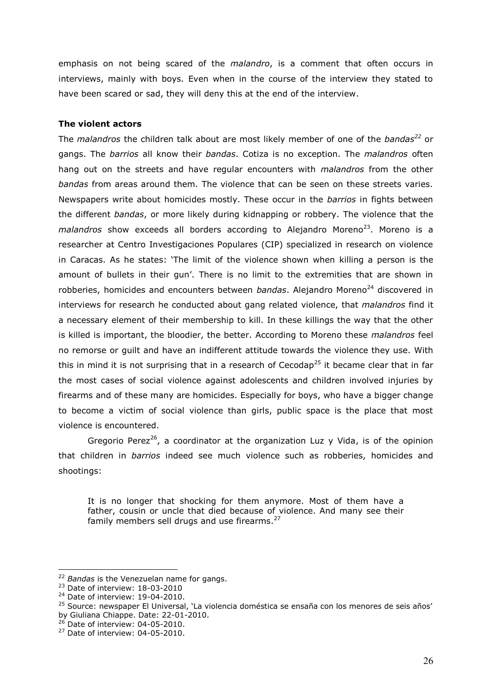emphasis on not being scared of the *malandro*, is a comment that often occurs in interviews, mainly with boys. Even when in the course of the interview they stated to have been scared or sad, they will deny this at the end of the interview.

## **The violent actors**

The *malandros* the children talk about are most likely member of one of the *bandas<sup>22</sup>* or gangs. The *barrios* all know their *bandas*. Cotiza is no exception. The *malandros* often hang out on the streets and have regular encounters with *malandros* from the other *bandas* from areas around them. The violence that can be seen on these streets varies. Newspapers write about homicides mostly. These occur in the *barrios* in fights between the different *bandas*, or more likely during kidnapping or robbery. The violence that the malandros show exceeds all borders according to Alejandro Moreno<sup>23</sup>. Moreno is a researcher at Centro Investigaciones Populares (CIP) specialized in research on violence in Caracas. As he states: "The limit of the violence shown when killing a person is the amount of bullets in their gun'. There is no limit to the extremities that are shown in robberies, homicides and encounters between *bandas*. Alejandro Moreno<sup>24</sup> discovered in interviews for research he conducted about gang related violence, that *malandros* find it a necessary element of their membership to kill. In these killings the way that the other is killed is important, the bloodier, the better. According to Moreno these *malandros* feel no remorse or guilt and have an indifferent attitude towards the violence they use. With this in mind it is not surprising that in a research of Cecodap<sup>25</sup> it became clear that in far the most cases of social violence against adolescents and children involved injuries by firearms and of these many are homicides. Especially for boys, who have a bigger change to become a victim of social violence than girls, public space is the place that most violence is encountered.

Gregorio Perez<sup>26</sup>, a coordinator at the organization Luz  $y$  Vida, is of the opinion that children in *barrios* indeed see much violence such as robberies, homicides and shootings:

It is no longer that shocking for them anymore. Most of them have a father, cousin or uncle that died because of violence. And many see their family members sell drugs and use firearms.<sup>27</sup>

<u>.</u>

 $26$  Date of interview: 04-05-2010.

<sup>22</sup> *Bandas* is the Venezuelan name for gangs.

<sup>&</sup>lt;sup>23</sup> Date of interview: 18-03-2010

<sup>&</sup>lt;sup>24</sup> Date of interview: 19-04-2010.

<sup>&</sup>lt;sup>25</sup> Source: newspaper El Universal, 'La violencia doméstica se ensaña con los menores de seis años' by Giuliana Chiappe. Date: 22-01-2010.

<sup>27</sup> Date of interview: 04-05-2010.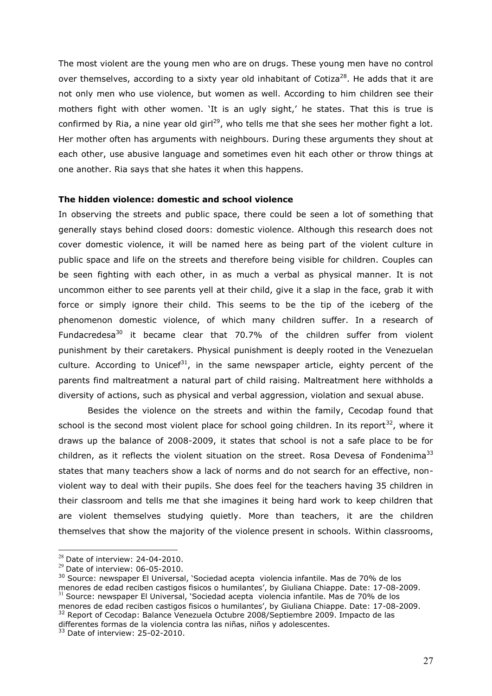The most violent are the young men who are on drugs. These young men have no control over themselves, according to a sixty year old inhabitant of Cotiza<sup>28</sup>. He adds that it are not only men who use violence, but women as well. According to him children see their mothers fight with other women. It is an ugly sight,' he states. That this is true is confirmed by Ria, a nine year old girl<sup>29</sup>, who tells me that she sees her mother fight a lot. Her mother often has arguments with neighbours. During these arguments they shout at each other, use abusive language and sometimes even hit each other or throw things at one another. Ria says that she hates it when this happens.

## **The hidden violence: domestic and school violence**

In observing the streets and public space, there could be seen a lot of something that generally stays behind closed doors: domestic violence. Although this research does not cover domestic violence, it will be named here as being part of the violent culture in public space and life on the streets and therefore being visible for children. Couples can be seen fighting with each other, in as much a verbal as physical manner. It is not uncommon either to see parents yell at their child, give it a slap in the face, grab it with force or simply ignore their child. This seems to be the tip of the iceberg of the phenomenon domestic violence, of which many children suffer. In a research of Fundacredesa<sup>30</sup> it became clear that 70.7% of the children suffer from violent punishment by their caretakers. Physical punishment is deeply rooted in the Venezuelan culture. According to Unicef<sup>31</sup>, in the same newspaper article, eighty percent of the parents find maltreatment a natural part of child raising. Maltreatment here withholds a diversity of actions, such as physical and verbal aggression, violation and sexual abuse.

Besides the violence on the streets and within the family, Cecodap found that school is the second most violent place for school going children. In its report<sup>32</sup>, where it draws up the balance of 2008-2009, it states that school is not a safe place to be for children, as it reflects the violent situation on the street. Rosa Devesa of Fondenima<sup>33</sup> states that many teachers show a lack of norms and do not search for an effective, nonviolent way to deal with their pupils. She does feel for the teachers having 35 children in their classroom and tells me that she imagines it being hard work to keep children that are violent themselves studying quietly. More than teachers, it are the children themselves that show the majority of the violence present in schools. Within classrooms,

 $28$  Date of interview: 24-04-2010.

 $29$  Date of interview: 06-05-2010.

<sup>&</sup>lt;sup>30</sup> Source: newspaper El Universal, 'Sociedad acepta violencia infantile. Mas de 70% de los menores de edad reciben castigos fisicos o humilantes", by Giuliana Chiappe. Date: 17-08-2009. <sup>31</sup> Source: newspaper El Universal, "Sociedad acepta violencia infantile. Mas de 70% de los menores de edad reciben castigos fisicos o humilantes", by Giuliana Chiappe. Date: 17-08-2009. <sup>32</sup> Report of Cecodap: Balance Venezuela Octubre 2008/Septiembre 2009. Impacto de las differentes formas de la violencia contra las niñas, niños y adolescentes.

<sup>33</sup> Date of interview: 25-02-2010.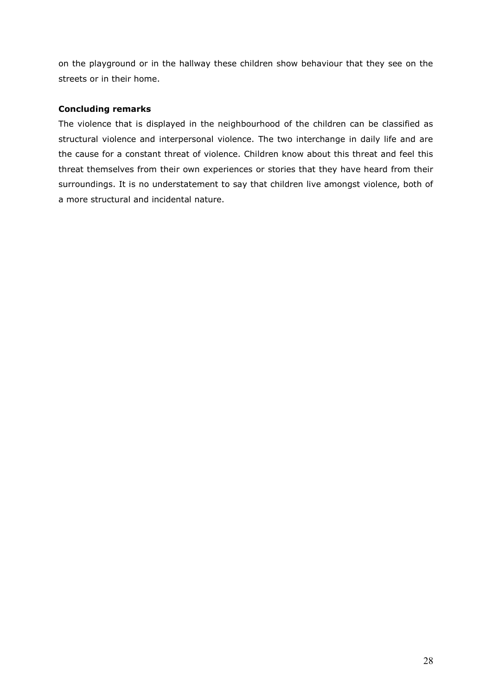on the playground or in the hallway these children show behaviour that they see on the streets or in their home.

## **Concluding remarks**

The violence that is displayed in the neighbourhood of the children can be classified as structural violence and interpersonal violence. The two interchange in daily life and are the cause for a constant threat of violence. Children know about this threat and feel this threat themselves from their own experiences or stories that they have heard from their surroundings. It is no understatement to say that children live amongst violence, both of a more structural and incidental nature.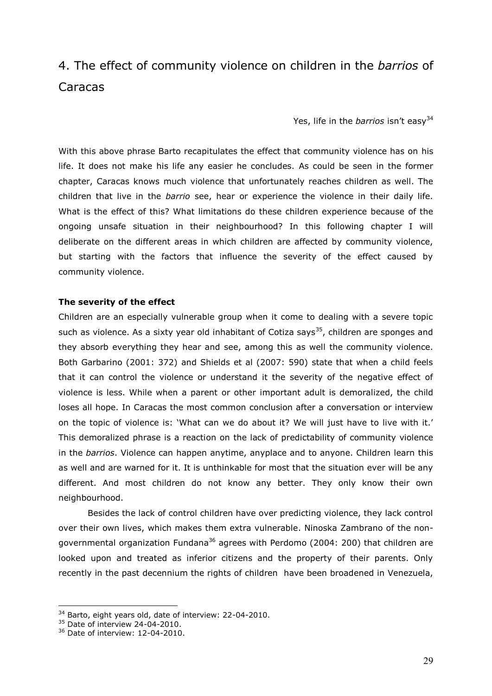# 4. The effect of community violence on children in the *barrios* of Caracas

Yes, life in the *barrios* isn't easv<sup>34</sup>

With this above phrase Barto recapitulates the effect that community violence has on his life. It does not make his life any easier he concludes. As could be seen in the former chapter, Caracas knows much violence that unfortunately reaches children as well. The children that live in the *barrio* see, hear or experience the violence in their daily life. What is the effect of this? What limitations do these children experience because of the ongoing unsafe situation in their neighbourhood? In this following chapter I will deliberate on the different areas in which children are affected by community violence, but starting with the factors that influence the severity of the effect caused by community violence.

## **The severity of the effect**

Children are an especially vulnerable group when it come to dealing with a severe topic such as violence. As a sixty year old inhabitant of Cotiza says<sup>35</sup>, children are sponges and they absorb everything they hear and see, among this as well the community violence. Both Garbarino (2001: 372) and Shields et al (2007: 590) state that when a child feels that it can control the violence or understand it the severity of the negative effect of violence is less. While when a parent or other important adult is demoralized, the child loses all hope. In Caracas the most common conclusion after a conversation or interview on the topic of violence is: "What can we do about it? We will just have to live with it." This demoralized phrase is a reaction on the lack of predictability of community violence in the *barrios*. Violence can happen anytime, anyplace and to anyone. Children learn this as well and are warned for it. It is unthinkable for most that the situation ever will be any different. And most children do not know any better. They only know their own neighbourhood.

Besides the lack of control children have over predicting violence, they lack control over their own lives, which makes them extra vulnerable. Ninoska Zambrano of the nongovernmental organization Fundana<sup>36</sup> agrees with Perdomo (2004: 200) that children are looked upon and treated as inferior citizens and the property of their parents. Only recently in the past decennium the rights of children have been broadened in Venezuela,

<sup>34</sup> Barto, eight years old, date of interview: 22-04-2010.

<sup>&</sup>lt;sup>35</sup> Date of interview 24-04-2010.

<sup>36</sup> Date of interview: 12-04-2010.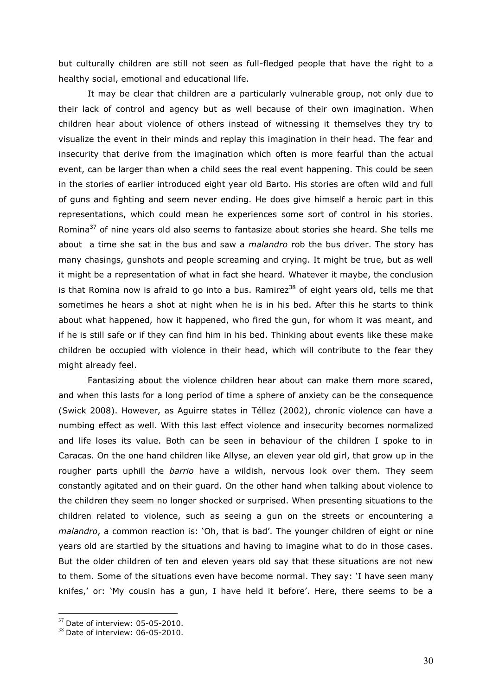but culturally children are still not seen as full-fledged people that have the right to a healthy social, emotional and educational life.

It may be clear that children are a particularly vulnerable group, not only due to their lack of control and agency but as well because of their own imagination. When children hear about violence of others instead of witnessing it themselves they try to visualize the event in their minds and replay this imagination in their head. The fear and insecurity that derive from the imagination which often is more fearful than the actual event, can be larger than when a child sees the real event happening. This could be seen in the stories of earlier introduced eight year old Barto. His stories are often wild and full of guns and fighting and seem never ending. He does give himself a heroic part in this representations, which could mean he experiences some sort of control in his stories. Romina<sup>37</sup> of nine years old also seems to fantasize about stories she heard. She tells me about a time she sat in the bus and saw a *malandro* rob the bus driver. The story has many chasings, gunshots and people screaming and crying. It might be true, but as well it might be a representation of what in fact she heard. Whatever it maybe, the conclusion is that Romina now is afraid to go into a bus. Ramirez<sup>38</sup> of eight years old, tells me that sometimes he hears a shot at night when he is in his bed. After this he starts to think about what happened, how it happened, who fired the gun, for whom it was meant, and if he is still safe or if they can find him in his bed. Thinking about events like these make children be occupied with violence in their head, which will contribute to the fear they might already feel.

Fantasizing about the violence children hear about can make them more scared, and when this lasts for a long period of time a sphere of anxiety can be the consequence (Swick 2008). However, as Aguirre states in Téllez (2002), chronic violence can have a numbing effect as well. With this last effect violence and insecurity becomes normalized and life loses its value. Both can be seen in behaviour of the children I spoke to in Caracas. On the one hand children like Allyse, an eleven year old girl, that grow up in the rougher parts uphill the *barrio* have a wildish, nervous look over them. They seem constantly agitated and on their guard. On the other hand when talking about violence to the children they seem no longer shocked or surprised. When presenting situations to the children related to violence, such as seeing a gun on the streets or encountering a *malandro*, a common reaction is: "Oh, that is bad". The younger children of eight or nine years old are startled by the situations and having to imagine what to do in those cases. But the older children of ten and eleven years old say that these situations are not new to them. Some of the situations even have become normal. They say: "I have seen many knifes,' or: 'My cousin has a gun, I have held it before'. Here, there seems to be a

<u>.</u>

 $37$  Date of interview: 05-05-2010.

 $38$  Date of interview: 06-05-2010.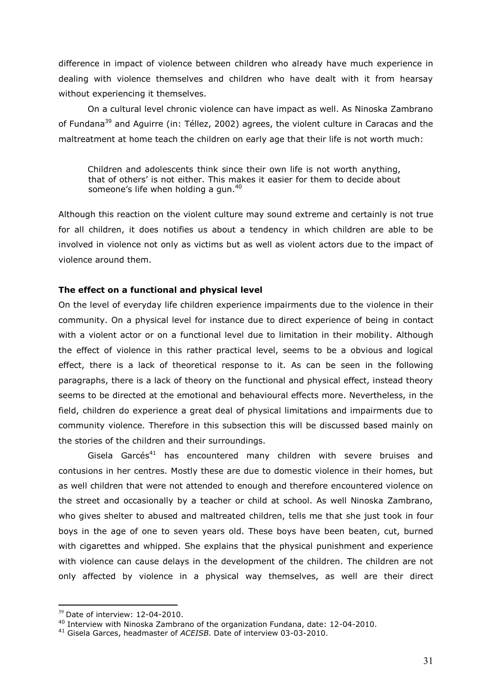difference in impact of violence between children who already have much experience in dealing with violence themselves and children who have dealt with it from hearsay without experiencing it themselves.

On a cultural level chronic violence can have impact as well. As Ninoska Zambrano of Fundana<sup>39</sup> and Aguirre (in: Téllez, 2002) agrees, the violent culture in Caracas and the maltreatment at home teach the children on early age that their life is not worth much:

Children and adolescents think since their own life is not worth anything, that of others" is not either. This makes it easier for them to decide about someone's life when holding a gun.<sup>40</sup>

Although this reaction on the violent culture may sound extreme and certainly is not true for all children, it does notifies us about a tendency in which children are able to be involved in violence not only as victims but as well as violent actors due to the impact of violence around them.

## **The effect on a functional and physical level**

On the level of everyday life children experience impairments due to the violence in their community. On a physical level for instance due to direct experience of being in contact with a violent actor or on a functional level due to limitation in their mobility. Although the effect of violence in this rather practical level, seems to be a obvious and logical effect, there is a lack of theoretical response to it. As can be seen in the following paragraphs, there is a lack of theory on the functional and physical effect, instead theory seems to be directed at the emotional and behavioural effects more. Nevertheless, in the field, children do experience a great deal of physical limitations and impairments due to community violence. Therefore in this subsection this will be discussed based mainly on the stories of the children and their surroundings.

Gisela Garcés<sup>41</sup> has encountered many children with severe bruises and contusions in her centres. Mostly these are due to domestic violence in their homes, but as well children that were not attended to enough and therefore encountered violence on the street and occasionally by a teacher or child at school. As well Ninoska Zambrano, who gives shelter to abused and maltreated children, tells me that she just took in four boys in the age of one to seven years old. These boys have been beaten, cut, burned with cigarettes and whipped. She explains that the physical punishment and experience with violence can cause delays in the development of the children. The children are not only affected by violence in a physical way themselves, as well are their direct

 $39$  Date of interview: 12-04-2010.

<sup>40</sup> Interview with Ninoska Zambrano of the organization Fundana, date: 12-04-2010.

<sup>41</sup> Gisela Garces, headmaster of *ACEISB*. Date of interview 03-03-2010.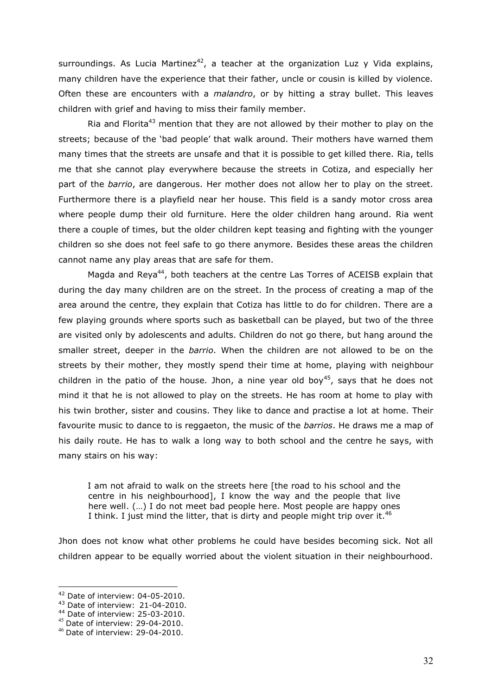surroundings. As Lucia Martinez<sup>42</sup>, a teacher at the organization Luz y Vida explains, many children have the experience that their father, uncle or cousin is killed by violence. Often these are encounters with a *malandro*, or by hitting a stray bullet. This leaves children with grief and having to miss their family member.

Ria and Florita<sup>43</sup> mention that they are not allowed by their mother to play on the streets; because of the "bad people" that walk around. Their mothers have warned them many times that the streets are unsafe and that it is possible to get killed there. Ria, tells me that she cannot play everywhere because the streets in Cotiza, and especially her part of the *barrio*, are dangerous. Her mother does not allow her to play on the street. Furthermore there is a playfield near her house. This field is a sandy motor cross area where people dump their old furniture. Here the older children hang around. Ria went there a couple of times, but the older children kept teasing and fighting with the younger children so she does not feel safe to go there anymore. Besides these areas the children cannot name any play areas that are safe for them.

Magda and Reya<sup>44</sup>, both teachers at the centre Las Torres of ACEISB explain that during the day many children are on the street. In the process of creating a map of the area around the centre, they explain that Cotiza has little to do for children. There are a few playing grounds where sports such as basketball can be played, but two of the three are visited only by adolescents and adults. Children do not go there, but hang around the smaller street, deeper in the *barrio*. When the children are not allowed to be on the streets by their mother, they mostly spend their time at home, playing with neighbour children in the patio of the house. Jhon, a nine year old boy<sup>45</sup>, says that he does not mind it that he is not allowed to play on the streets. He has room at home to play with his twin brother, sister and cousins. They like to dance and practise a lot at home. Their favourite music to dance to is reggaeton, the music of the *barrios*. He draws me a map of his daily route. He has to walk a long way to both school and the centre he says, with many stairs on his way:

I am not afraid to walk on the streets here [the road to his school and the centre in his neighbourhood], I know the way and the people that live here well. (…) I do not meet bad people here. Most people are happy ones I think. I just mind the litter, that is dirty and people might trip over it.<sup>46</sup>

Jhon does not know what other problems he could have besides becoming sick. Not all children appear to be equally worried about the violent situation in their neighbourhood.

<sup>&</sup>lt;sup>42</sup> Date of interview: 04-05-2010.

<sup>43</sup> Date of interview: 21-04-2010.

<sup>44</sup> Date of interview: 25-03-2010.

<sup>45</sup> Date of interview: 29-04-2010.

 $46$  Date of interview: 29-04-2010.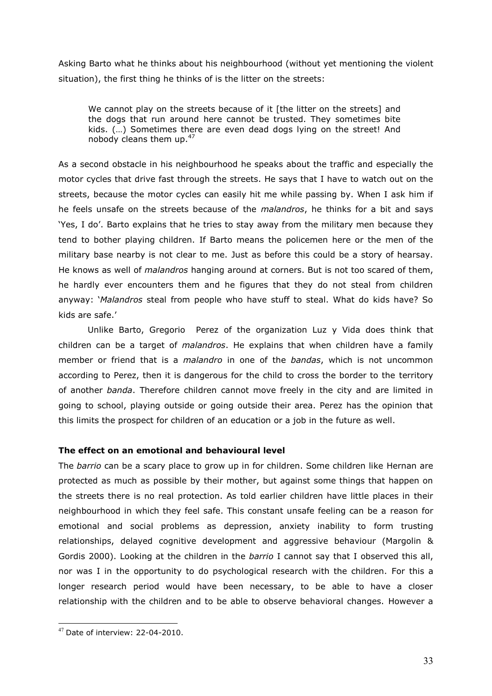Asking Barto what he thinks about his neighbourhood (without yet mentioning the violent situation), the first thing he thinks of is the litter on the streets:

We cannot play on the streets because of it [the litter on the streets] and the dogs that run around here cannot be trusted. They sometimes bite kids. (…) Sometimes there are even dead dogs lying on the street! And nobody cleans them up.<sup>47</sup>

As a second obstacle in his neighbourhood he speaks about the traffic and especially the motor cycles that drive fast through the streets. He says that I have to watch out on the streets, because the motor cycles can easily hit me while passing by. When I ask him if he feels unsafe on the streets because of the *malandros*, he thinks for a bit and says 'Yes, I do'. Barto explains that he tries to stay away from the military men because they tend to bother playing children. If Barto means the policemen here or the men of the military base nearby is not clear to me. Just as before this could be a story of hearsay. He knows as well of *malandros* hanging around at corners. But is not too scared of them, he hardly ever encounters them and he figures that they do not steal from children anyway: "*Malandros* steal from people who have stuff to steal. What do kids have? So kids are safe."

Unlike Barto, Gregorio Perez of the organization Luz y Vida does think that children can be a target of *malandros*. He explains that when children have a family member or friend that is a *malandro* in one of the *bandas*, which is not uncommon according to Perez, then it is dangerous for the child to cross the border to the territory of another *banda*. Therefore children cannot move freely in the city and are limited in going to school, playing outside or going outside their area. Perez has the opinion that this limits the prospect for children of an education or a job in the future as well.

## **The effect on an emotional and behavioural level**

The *barrio* can be a scary place to grow up in for children. Some children like Hernan are protected as much as possible by their mother, but against some things that happen on the streets there is no real protection. As told earlier children have little places in their neighbourhood in which they feel safe. This constant unsafe feeling can be a reason for emotional and social problems as depression, anxiety inability to form trusting relationships, delayed cognitive development and aggressive behaviour (Margolin & Gordis 2000). Looking at the children in the *barrio* I cannot say that I observed this all, nor was I in the opportunity to do psychological research with the children. For this a longer research period would have been necessary, to be able to have a closer relationship with the children and to be able to observe behavioral changes. However a

<sup>1</sup>  $47$  Date of interview: 22-04-2010.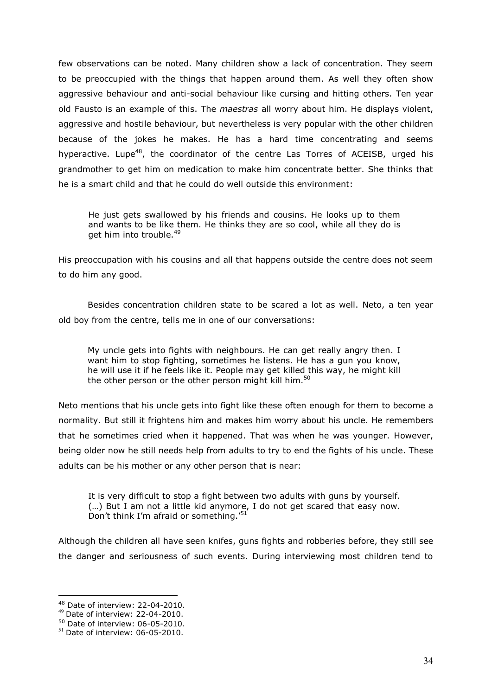few observations can be noted. Many children show a lack of concentration. They seem to be preoccupied with the things that happen around them. As well they often show aggressive behaviour and anti-social behaviour like cursing and hitting others. Ten year old Fausto is an example of this. The *maestras* all worry about him. He displays violent, aggressive and hostile behaviour, but nevertheless is very popular with the other children because of the jokes he makes. He has a hard time concentrating and seems hyperactive. Lupe<sup>48</sup>, the coordinator of the centre Las Torres of ACEISB, urged his grandmother to get him on medication to make him concentrate better. She thinks that he is a smart child and that he could do well outside this environment:

He just gets swallowed by his friends and cousins. He looks up to them and wants to be like them. He thinks they are so cool, while all they do is get him into trouble.<sup>49</sup>

His preoccupation with his cousins and all that happens outside the centre does not seem to do him any good.

Besides concentration children state to be scared a lot as well. Neto, a ten year old boy from the centre, tells me in one of our conversations:

My uncle gets into fights with neighbours. He can get really angry then. I want him to stop fighting, sometimes he listens. He has a gun you know, he will use it if he feels like it. People may get killed this way, he might kill the other person or the other person might kill him.<sup>50</sup>

Neto mentions that his uncle gets into fight like these often enough for them to become a normality. But still it frightens him and makes him worry about his uncle. He remembers that he sometimes cried when it happened. That was when he was younger. However, being older now he still needs help from adults to try to end the fights of his uncle. These adults can be his mother or any other person that is near:

It is very difficult to stop a fight between two adults with guns by yourself. (…) But I am not a little kid anymore, I do not get scared that easy now. Don't think I'm afraid or something.<sup>'51</sup>

Although the children all have seen knifes, guns fights and robberies before, they still see the danger and seriousness of such events. During interviewing most children tend to

<sup>48</sup> Date of interview: 22-04-2010.

<sup>49</sup> Date of interview: 22-04-2010.

<sup>50</sup> Date of interview: 06-05-2010.

 $<sup>51</sup>$  Date of interview: 06-05-2010.</sup>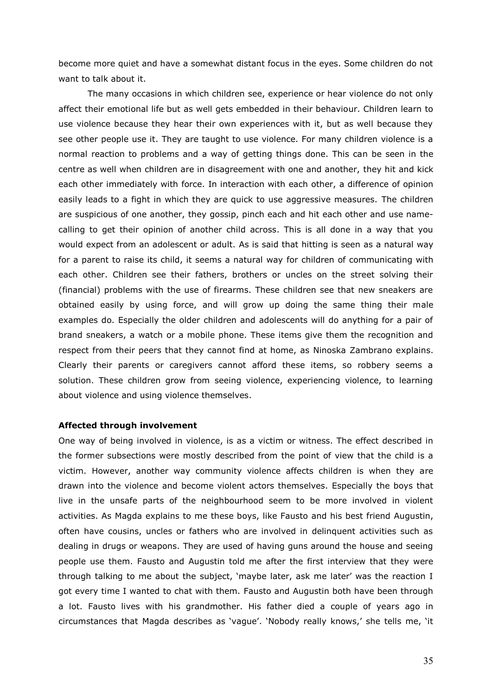become more quiet and have a somewhat distant focus in the eyes. Some children do not want to talk about it.

The many occasions in which children see, experience or hear violence do not only affect their emotional life but as well gets embedded in their behaviour. Children learn to use violence because they hear their own experiences with it, but as well because they see other people use it. They are taught to use violence. For many children violence is a normal reaction to problems and a way of getting things done. This can be seen in the centre as well when children are in disagreement with one and another, they hit and kick each other immediately with force. In interaction with each other, a difference of opinion easily leads to a fight in which they are quick to use aggressive measures. The children are suspicious of one another, they gossip, pinch each and hit each other and use namecalling to get their opinion of another child across. This is all done in a way that you would expect from an adolescent or adult. As is said that hitting is seen as a natural way for a parent to raise its child, it seems a natural way for children of communicating with each other. Children see their fathers, brothers or uncles on the street solving their (financial) problems with the use of firearms. These children see that new sneakers are obtained easily by using force, and will grow up doing the same thing their male examples do. Especially the older children and adolescents will do anything for a pair of brand sneakers, a watch or a mobile phone. These items give them the recognition and respect from their peers that they cannot find at home, as Ninoska Zambrano explains. Clearly their parents or caregivers cannot afford these items, so robbery seems a solution. These children grow from seeing violence, experiencing violence, to learning about violence and using violence themselves.

## **Affected through involvement**

One way of being involved in violence, is as a victim or witness. The effect described in the former subsections were mostly described from the point of view that the child is a victim. However, another way community violence affects children is when they are drawn into the violence and become violent actors themselves. Especially the boys that live in the unsafe parts of the neighbourhood seem to be more involved in violent activities. As Magda explains to me these boys, like Fausto and his best friend Augustin, often have cousins, uncles or fathers who are involved in delinquent activities such as dealing in drugs or weapons. They are used of having guns around the house and seeing people use them. Fausto and Augustin told me after the first interview that they were through talking to me about the subject, "maybe later, ask me later" was the reaction I got every time I wanted to chat with them. Fausto and Augustin both have been through a lot. Fausto lives with his grandmother. His father died a couple of years ago in circumstances that Magda describes as "vague". "Nobody really knows," she tells me, "it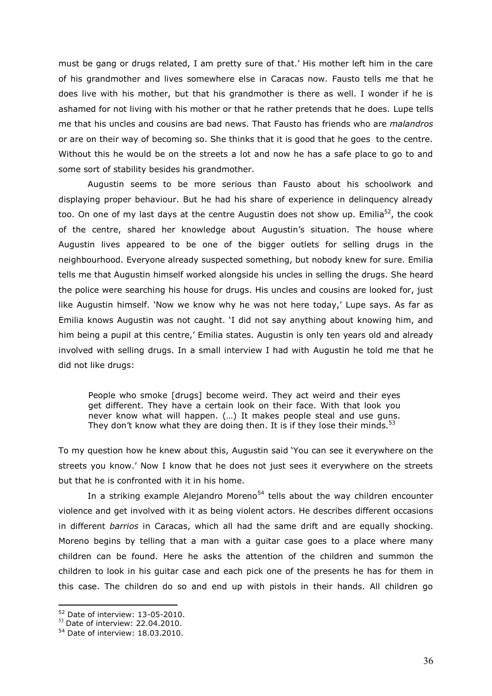must be gang or drugs related, I am pretty sure of that.' His mother left him in the care of his grandmother and lives somewhere else in Caracas now. Fausto tells me that he does live with his mother, but that his grandmother is there as well. I wonder if he is ashamed for not living with his mother or that he rather pretends that he does. Lupe tells me that his uncles and cousins are bad news. That Fausto has friends who are *malandros* or are on their way of becoming so. She thinks that it is good that he goes to the centre. Without this he would be on the streets a lot and now he has a safe place to go to and some sort of stability besides his grandmother.

Augustin seems to be more serious than Fausto about his schoolwork and displaying proper behaviour. But he had his share of experience in delinquency already too. On one of my last days at the centre Augustin does not show up. Emilia<sup>52</sup>, the cook of the centre, shared her knowledge about Augustin"s situation. The house where Augustin lives appeared to be one of the bigger outlets for selling drugs in the neighbourhood. Everyone already suspected something, but nobody knew for sure. Emilia tells me that Augustin himself worked alongside his uncles in selling the drugs. She heard the police were searching his house for drugs. His uncles and cousins are looked for, just like Augustin himself. "Now we know why he was not here today," Lupe says. As far as Emilia knows Augustin was not caught. "I did not say anything about knowing him, and him being a pupil at this centre,' Emilia states. Augustin is only ten years old and already involved with selling drugs. In a small interview I had with Augustin he told me that he did not like drugs:

People who smoke [drugs] become weird. They act weird and their eyes get different. They have a certain look on their face. With that look you never know what will happen. (…) It makes people steal and use guns. They don't know what they are doing then. It is if they lose their minds. $53$ 

To my question how he knew about this, Augustin said "You can see it everywhere on the streets you know.' Now I know that he does not just sees it everywhere on the streets but that he is confronted with it in his home.

In a striking example Alejandro Moreno<sup>54</sup> tells about the way children encounter violence and get involved with it as being violent actors. He describes different occasions in different *barrios* in Caracas, which all had the same drift and are equally shocking. Moreno begins by telling that a man with a guitar case goes to a place where many children can be found. Here he asks the attention of the children and summon the children to look in his guitar case and each pick one of the presents he has for them in this case. The children do so and end up with pistols in their hands. All children go

<sup>52</sup> Date of interview: 13-05-2010.

 $53$  Date of interview: 22.04.2010.

<sup>54</sup> Date of interview: 18.03.2010.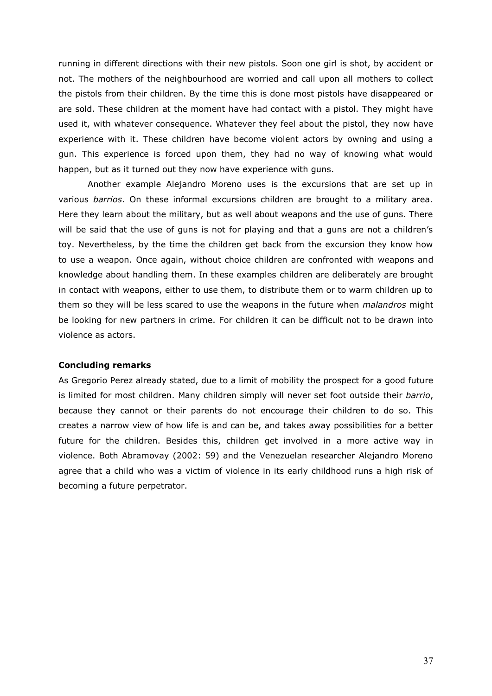running in different directions with their new pistols. Soon one girl is shot, by accident or not. The mothers of the neighbourhood are worried and call upon all mothers to collect the pistols from their children. By the time this is done most pistols have disappeared or are sold. These children at the moment have had contact with a pistol. They might have used it, with whatever consequence. Whatever they feel about the pistol, they now have experience with it. These children have become violent actors by owning and using a gun. This experience is forced upon them, they had no way of knowing what would happen, but as it turned out they now have experience with guns.

Another example Alejandro Moreno uses is the excursions that are set up in various *barrios*. On these informal excursions children are brought to a military area. Here they learn about the military, but as well about weapons and the use of guns. There will be said that the use of guns is not for playing and that a guns are not a children's toy. Nevertheless, by the time the children get back from the excursion they know how to use a weapon. Once again, without choice children are confronted with weapons and knowledge about handling them. In these examples children are deliberately are brought in contact with weapons, either to use them, to distribute them or to warm children up to them so they will be less scared to use the weapons in the future when *malandros* might be looking for new partners in crime. For children it can be difficult not to be drawn into violence as actors.

## **Concluding remarks**

As Gregorio Perez already stated, due to a limit of mobility the prospect for a good future is limited for most children. Many children simply will never set foot outside their *barrio*, because they cannot or their parents do not encourage their children to do so. This creates a narrow view of how life is and can be, and takes away possibilities for a better future for the children. Besides this, children get involved in a more active way in violence. Both Abramovay (2002: 59) and the Venezuelan researcher Alejandro Moreno agree that a child who was a victim of violence in its early childhood runs a high risk of becoming a future perpetrator.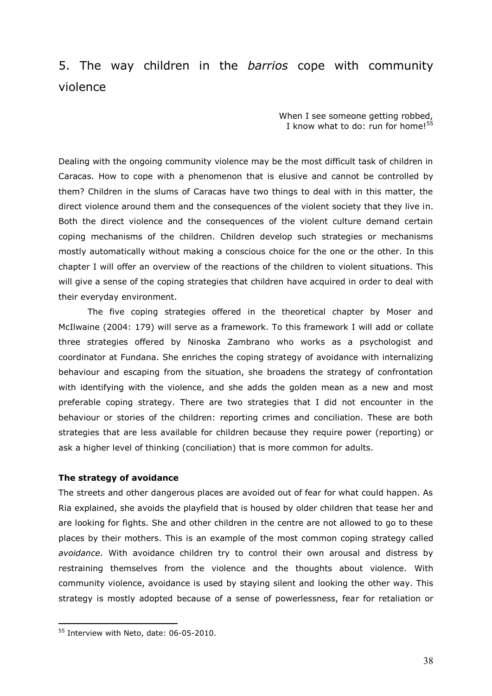# 5. The way children in the *barrios* cope with community violence

When I see someone getting robbed, I know what to do: run for home!<sup>55</sup>

Dealing with the ongoing community violence may be the most difficult task of children in Caracas. How to cope with a phenomenon that is elusive and cannot be controlled by them? Children in the slums of Caracas have two things to deal with in this matter, the direct violence around them and the consequences of the violent society that they live in. Both the direct violence and the consequences of the violent culture demand certain coping mechanisms of the children. Children develop such strategies or mechanisms mostly automatically without making a conscious choice for the one or the other. In this chapter I will offer an overview of the reactions of the children to violent situations. This will give a sense of the coping strategies that children have acquired in order to deal with their everyday environment.

The five coping strategies offered in the theoretical chapter by Moser and McIlwaine (2004: 179) will serve as a framework. To this framework I will add or collate three strategies offered by Ninoska Zambrano who works as a psychologist and coordinator at Fundana. She enriches the coping strategy of avoidance with internalizing behaviour and escaping from the situation, she broadens the strategy of confrontation with identifying with the violence, and she adds the golden mean as a new and most preferable coping strategy. There are two strategies that I did not encounter in the behaviour or stories of the children: reporting crimes and conciliation. These are both strategies that are less available for children because they require power (reporting) or ask a higher level of thinking (conciliation) that is more common for adults.

## **The strategy of avoidance**

The streets and other dangerous places are avoided out of fear for what could happen. As Ria explained, she avoids the playfield that is housed by older children that tease her and are looking for fights. She and other children in the centre are not allowed to go to these places by their mothers. This is an example of the most common coping strategy called *avoidance*. With avoidance children try to control their own arousal and distress by restraining themselves from the violence and the thoughts about violence. With community violence, avoidance is used by staying silent and looking the other way. This strategy is mostly adopted because of a sense of powerlessness, fear for retaliation or

<u>.</u>

<sup>55</sup> Interview with Neto, date: 06-05-2010.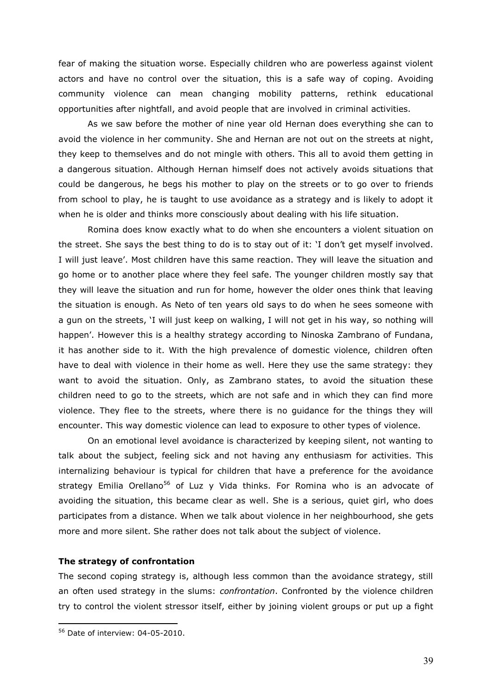fear of making the situation worse. Especially children who are powerless against violent actors and have no control over the situation, this is a safe way of coping. Avoiding community violence can mean changing mobility patterns, rethink educational opportunities after nightfall, and avoid people that are involved in criminal activities.

As we saw before the mother of nine year old Hernan does everything she can to avoid the violence in her community. She and Hernan are not out on the streets at night, they keep to themselves and do not mingle with others. This all to avoid them getting in a dangerous situation. Although Hernan himself does not actively avoids situations that could be dangerous, he begs his mother to play on the streets or to go over to friends from school to play, he is taught to use avoidance as a strategy and is likely to adopt it when he is older and thinks more consciously about dealing with his life situation.

Romina does know exactly what to do when she encounters a violent situation on the street. She says the best thing to do is to stay out of it: "I don"t get myself involved. I will just leave". Most children have this same reaction. They will leave the situation and go home or to another place where they feel safe. The younger children mostly say that they will leave the situation and run for home, however the older ones think that leaving the situation is enough. As Neto of ten years old says to do when he sees someone with a gun on the streets, "I will just keep on walking, I will not get in his way, so nothing will happen'. However this is a healthy strategy according to Ninoska Zambrano of Fundana, it has another side to it. With the high prevalence of domestic violence, children often have to deal with violence in their home as well. Here they use the same strategy: they want to avoid the situation. Only, as Zambrano states, to avoid the situation these children need to go to the streets, which are not safe and in which they can find more violence. They flee to the streets, where there is no guidance for the things they will encounter. This way domestic violence can lead to exposure to other types of violence.

On an emotional level avoidance is characterized by keeping silent, not wanting to talk about the subject, feeling sick and not having any enthusiasm for activities. This internalizing behaviour is typical for children that have a preference for the avoidance strategy Emilia Orellano<sup>56</sup> of Luz y Vida thinks. For Romina who is an advocate of avoiding the situation, this became clear as well. She is a serious, quiet girl, who does participates from a distance. When we talk about violence in her neighbourhood, she gets more and more silent. She rather does not talk about the subject of violence.

## **The strategy of confrontation**

The second coping strategy is, although less common than the avoidance strategy, still an often used strategy in the slums: *confrontation*. Confronted by the violence children try to control the violent stressor itself, either by joining violent groups or put up a fight

<u>.</u>

<sup>56</sup> Date of interview: 04-05-2010.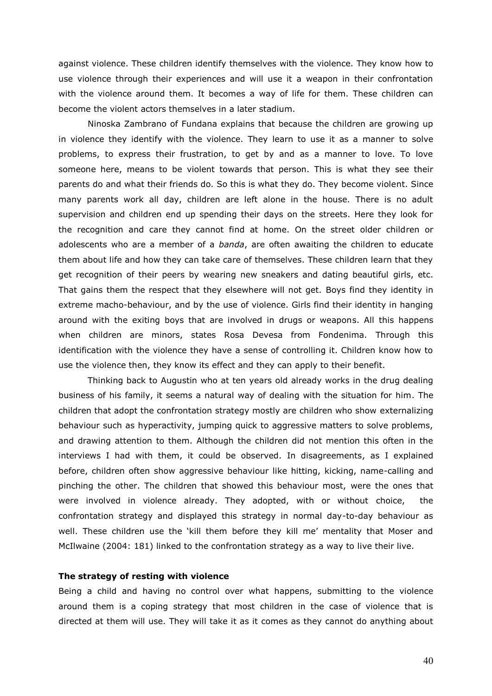against violence. These children identify themselves with the violence. They know how to use violence through their experiences and will use it a weapon in their confrontation with the violence around them. It becomes a way of life for them. These children can become the violent actors themselves in a later stadium.

Ninoska Zambrano of Fundana explains that because the children are growing up in violence they identify with the violence. They learn to use it as a manner to solve problems, to express their frustration, to get by and as a manner to love. To love someone here, means to be violent towards that person. This is what they see their parents do and what their friends do. So this is what they do. They become violent. Since many parents work all day, children are left alone in the house. There is no adult supervision and children end up spending their days on the streets. Here they look for the recognition and care they cannot find at home. On the street older children or adolescents who are a member of a *banda*, are often awaiting the children to educate them about life and how they can take care of themselves. These children learn that they get recognition of their peers by wearing new sneakers and dating beautiful girls, etc. That gains them the respect that they elsewhere will not get. Boys find they identity in extreme macho-behaviour, and by the use of violence. Girls find their identity in hanging around with the exiting boys that are involved in drugs or weapons. All this happens when children are minors, states Rosa Devesa from Fondenima. Through this identification with the violence they have a sense of controlling it. Children know how to use the violence then, they know its effect and they can apply to their benefit.

Thinking back to Augustin who at ten years old already works in the drug dealing business of his family, it seems a natural way of dealing with the situation for him. The children that adopt the confrontation strategy mostly are children who show externalizing behaviour such as hyperactivity, jumping quick to aggressive matters to solve problems, and drawing attention to them. Although the children did not mention this often in the interviews I had with them, it could be observed. In disagreements, as I explained before, children often show aggressive behaviour like hitting, kicking, name-calling and pinching the other. The children that showed this behaviour most, were the ones that were involved in violence already. They adopted, with or without choice, the confrontation strategy and displayed this strategy in normal day-to-day behaviour as well. These children use the 'kill them before they kill me' mentality that Moser and McIlwaine (2004: 181) linked to the confrontation strategy as a way to live their live.

## **The strategy of resting with violence**

Being a child and having no control over what happens, submitting to the violence around them is a coping strategy that most children in the case of violence that is directed at them will use. They will take it as it comes as they cannot do anything about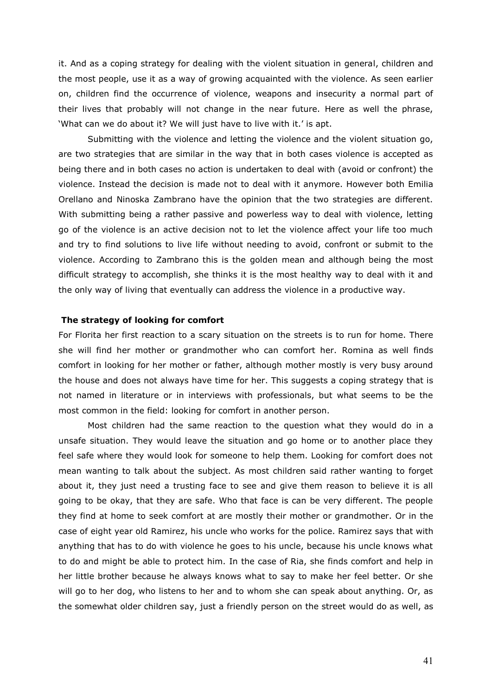it. And as a coping strategy for dealing with the violent situation in general, children and the most people, use it as a way of growing acquainted with the violence. As seen earlier on, children find the occurrence of violence, weapons and insecurity a normal part of their lives that probably will not change in the near future. Here as well the phrase, 'What can we do about it? We will just have to live with it.' is apt.

Submitting with the violence and letting the violence and the violent situation go, are two strategies that are similar in the way that in both cases violence is accepted as being there and in both cases no action is undertaken to deal with (avoid or confront) the violence. Instead the decision is made not to deal with it anymore. However both Emilia Orellano and Ninoska Zambrano have the opinion that the two strategies are different. With submitting being a rather passive and powerless way to deal with violence, letting go of the violence is an active decision not to let the violence affect your life too much and try to find solutions to live life without needing to avoid, confront or submit to the violence. According to Zambrano this is the golden mean and although being the most difficult strategy to accomplish, she thinks it is the most healthy way to deal with it and the only way of living that eventually can address the violence in a productive way.

## **The strategy of looking for comfort**

For Florita her first reaction to a scary situation on the streets is to run for home. There she will find her mother or grandmother who can comfort her. Romina as well finds comfort in looking for her mother or father, although mother mostly is very busy around the house and does not always have time for her. This suggests a coping strategy that is not named in literature or in interviews with professionals, but what seems to be the most common in the field: looking for comfort in another person.

Most children had the same reaction to the question what they would do in a unsafe situation. They would leave the situation and go home or to another place they feel safe where they would look for someone to help them. Looking for comfort does not mean wanting to talk about the subject. As most children said rather wanting to forget about it, they just need a trusting face to see and give them reason to believe it is all going to be okay, that they are safe. Who that face is can be very different. The people they find at home to seek comfort at are mostly their mother or grandmother. Or in the case of eight year old Ramirez, his uncle who works for the police. Ramirez says that with anything that has to do with violence he goes to his uncle, because his uncle knows what to do and might be able to protect him. In the case of Ria, she finds comfort and help in her little brother because he always knows what to say to make her feel better. Or she will go to her dog, who listens to her and to whom she can speak about anything. Or, as the somewhat older children say, just a friendly person on the street would do as well, as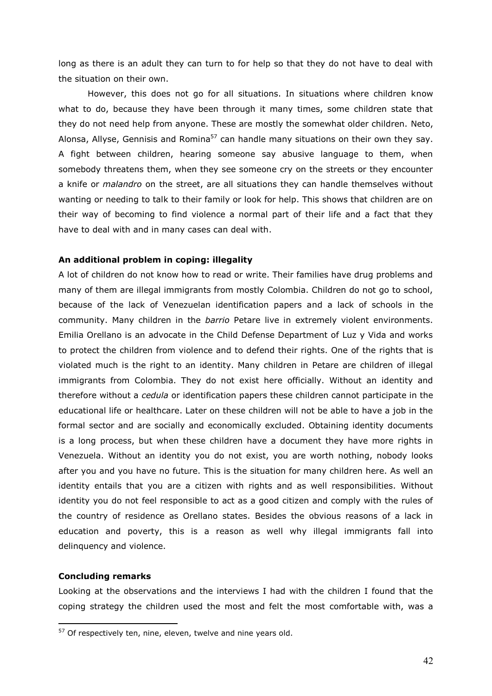long as there is an adult they can turn to for help so that they do not have to deal with the situation on their own.

However, this does not go for all situations. In situations where children know what to do, because they have been through it many times, some children state that they do not need help from anyone. These are mostly the somewhat older children. Neto, Alonsa, Allyse, Gennisis and Romina<sup>57</sup> can handle many situations on their own they say. A fight between children, hearing someone say abusive language to them, when somebody threatens them, when they see someone cry on the streets or they encounter a knife or *malandro* on the street, are all situations they can handle themselves without wanting or needing to talk to their family or look for help. This shows that children are on their way of becoming to find violence a normal part of their life and a fact that they have to deal with and in many cases can deal with.

### **An additional problem in coping: illegality**

A lot of children do not know how to read or write. Their families have drug problems and many of them are illegal immigrants from mostly Colombia. Children do not go to school, because of the lack of Venezuelan identification papers and a lack of schools in the community. Many children in the *barrio* Petare live in extremely violent environments. Emilia Orellano is an advocate in the Child Defense Department of Luz y Vida and works to protect the children from violence and to defend their rights. One of the rights that is violated much is the right to an identity. Many children in Petare are children of illegal immigrants from Colombia. They do not exist here officially. Without an identity and therefore without a *cedula* or identification papers these children cannot participate in the educational life or healthcare. Later on these children will not be able to have a job in the formal sector and are socially and economically excluded. Obtaining identity documents is a long process, but when these children have a document they have more rights in Venezuela. Without an identity you do not exist, you are worth nothing, nobody looks after you and you have no future. This is the situation for many children here. As well an identity entails that you are a citizen with rights and as well responsibilities. Without identity you do not feel responsible to act as a good citizen and comply with the rules of the country of residence as Orellano states. Besides the obvious reasons of a lack in education and poverty, this is a reason as well why illegal immigrants fall into delinquency and violence.

## **Concluding remarks**

<u>.</u>

Looking at the observations and the interviews I had with the children I found that the coping strategy the children used the most and felt the most comfortable with, was a

 $57$  Of respectively ten, nine, eleven, twelve and nine years old.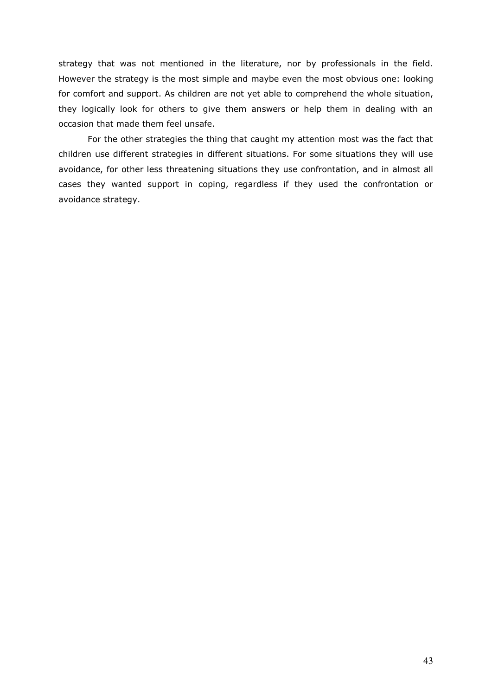strategy that was not mentioned in the literature, nor by professionals in the field. However the strategy is the most simple and maybe even the most obvious one: looking for comfort and support. As children are not yet able to comprehend the whole situation, they logically look for others to give them answers or help them in dealing with an occasion that made them feel unsafe.

For the other strategies the thing that caught my attention most was the fact that children use different strategies in different situations. For some situations they will use avoidance, for other less threatening situations they use confrontation, and in almost all cases they wanted support in coping, regardless if they used the confrontation or avoidance strategy.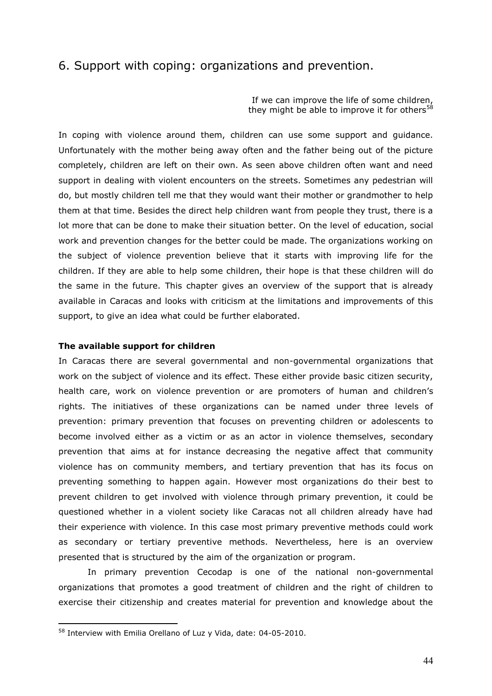## 6. Support with coping: organizations and prevention.

If we can improve the life of some children, they might be able to improve it for others<sup>58</sup>

In coping with violence around them, children can use some support and guidance. Unfortunately with the mother being away often and the father being out of the picture completely, children are left on their own. As seen above children often want and need support in dealing with violent encounters on the streets. Sometimes any pedestrian will do, but mostly children tell me that they would want their mother or grandmother to help them at that time. Besides the direct help children want from people they trust, there is a lot more that can be done to make their situation better. On the level of education, social work and prevention changes for the better could be made. The organizations working on the subject of violence prevention believe that it starts with improving life for the children. If they are able to help some children, their hope is that these children will do the same in the future. This chapter gives an overview of the support that is already available in Caracas and looks with criticism at the limitations and improvements of this support, to give an idea what could be further elaborated.

#### **The available support for children**

In Caracas there are several governmental and non-governmental organizations that work on the subject of violence and its effect. These either provide basic citizen security, health care, work on violence prevention or are promoters of human and children's rights. The initiatives of these organizations can be named under three levels of prevention: primary prevention that focuses on preventing children or adolescents to become involved either as a victim or as an actor in violence themselves, secondary prevention that aims at for instance decreasing the negative affect that community violence has on community members, and tertiary prevention that has its focus on preventing something to happen again. However most organizations do their best to prevent children to get involved with violence through primary prevention, it could be questioned whether in a violent society like Caracas not all children already have had their experience with violence. In this case most primary preventive methods could work as secondary or tertiary preventive methods. Nevertheless, here is an overview presented that is structured by the aim of the organization or program.

In primary prevention Cecodap is one of the national non-governmental organizations that promotes a good treatment of children and the right of children to exercise their citizenship and creates material for prevention and knowledge about the

<u>.</u>

<sup>58</sup> Interview with Emilia Orellano of Luz y Vida, date: 04-05-2010.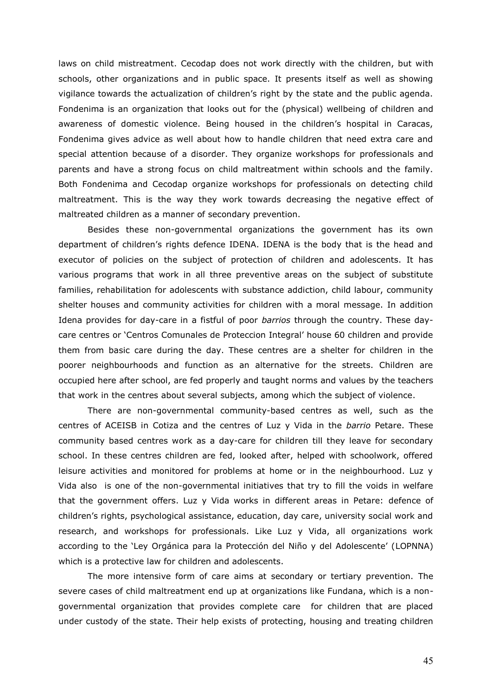laws on child mistreatment. Cecodap does not work directly with the children, but with schools, other organizations and in public space. It presents itself as well as showing vigilance towards the actualization of children"s right by the state and the public agenda. Fondenima is an organization that looks out for the (physical) wellbeing of children and awareness of domestic violence. Being housed in the children"s hospital in Caracas, Fondenima gives advice as well about how to handle children that need extra care and special attention because of a disorder. They organize workshops for professionals and parents and have a strong focus on child maltreatment within schools and the family. Both Fondenima and Cecodap organize workshops for professionals on detecting child maltreatment. This is the way they work towards decreasing the negative effect of maltreated children as a manner of secondary prevention.

Besides these non-governmental organizations the government has its own department of children"s rights defence IDENA. IDENA is the body that is the head and executor of policies on the subject of protection of children and adolescents. It has various programs that work in all three preventive areas on the subject of substitute families, rehabilitation for adolescents with substance addiction, child labour, community shelter houses and community activities for children with a moral message. In addition Idena provides for day-care in a fistful of poor *barrios* through the country. These daycare centres or "Centros Comunales de Proteccion Integral" house 60 children and provide them from basic care during the day. These centres are a shelter for children in the poorer neighbourhoods and function as an alternative for the streets. Children are occupied here after school, are fed properly and taught norms and values by the teachers that work in the centres about several subjects, among which the subject of violence.

There are non-governmental community-based centres as well, such as the centres of ACEISB in Cotiza and the centres of Luz y Vida in the *barrio* Petare. These community based centres work as a day-care for children till they leave for secondary school. In these centres children are fed, looked after, helped with schoolwork, offered leisure activities and monitored for problems at home or in the neighbourhood. Luz y Vida also is one of the non-governmental initiatives that try to fill the voids in welfare that the government offers. Luz y Vida works in different areas in Petare: defence of children"s rights, psychological assistance, education, day care, university social work and research, and workshops for professionals. Like Luz y Vida, all organizations work according to the 'Ley Orgánica para la Protección del Niño y del Adolescente' (LOPNNA) which is a protective law for children and adolescents.

The more intensive form of care aims at secondary or tertiary prevention. The severe cases of child maltreatment end up at organizations like Fundana, which is a nongovernmental organization that provides complete care for children that are placed under custody of the state. Their help exists of protecting, housing and treating children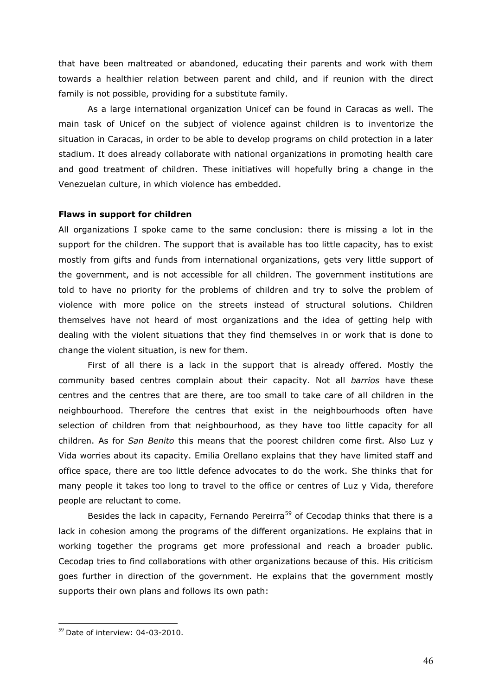that have been maltreated or abandoned, educating their parents and work with them towards a healthier relation between parent and child, and if reunion with the direct family is not possible, providing for a substitute family.

As a large international organization Unicef can be found in Caracas as well. The main task of Unicef on the subject of violence against children is to inventorize the situation in Caracas, in order to be able to develop programs on child protection in a later stadium. It does already collaborate with national organizations in promoting health care and good treatment of children. These initiatives will hopefully bring a change in the Venezuelan culture, in which violence has embedded.

## **Flaws in support for children**

All organizations I spoke came to the same conclusion: there is missing a lot in the support for the children. The support that is available has too little capacity, has to exist mostly from gifts and funds from international organizations, gets very little support of the government, and is not accessible for all children. The government institutions are told to have no priority for the problems of children and try to solve the problem of violence with more police on the streets instead of structural solutions. Children themselves have not heard of most organizations and the idea of getting help with dealing with the violent situations that they find themselves in or work that is done to change the violent situation, is new for them.

First of all there is a lack in the support that is already offered. Mostly the community based centres complain about their capacity. Not all *barrios* have these centres and the centres that are there, are too small to take care of all children in the neighbourhood. Therefore the centres that exist in the neighbourhoods often have selection of children from that neighbourhood, as they have too little capacity for all children. As for *San Benito* this means that the poorest children come first. Also Luz y Vida worries about its capacity. Emilia Orellano explains that they have limited staff and office space, there are too little defence advocates to do the work. She thinks that for many people it takes too long to travel to the office or centres of Luz y Vida, therefore people are reluctant to come.

Besides the lack in capacity, Fernando Pereirra<sup>59</sup> of Cecodap thinks that there is a lack in cohesion among the programs of the different organizations. He explains that in working together the programs get more professional and reach a broader public. Cecodap tries to find collaborations with other organizations because of this. His criticism goes further in direction of the government. He explains that the government mostly supports their own plans and follows its own path:

 $59$  Date of interview: 04-03-2010.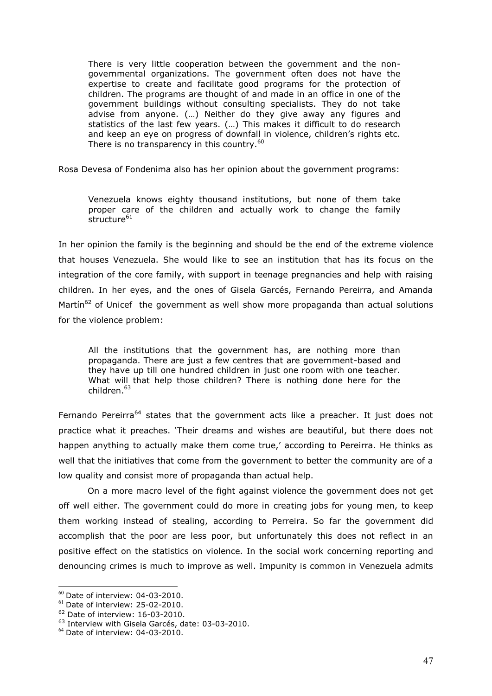There is very little cooperation between the government and the nongovernmental organizations. The government often does not have the expertise to create and facilitate good programs for the protection of children. The programs are thought of and made in an office in one of the government buildings without consulting specialists. They do not take advise from anyone. (…) Neither do they give away any figures and statistics of the last few years. (…) This makes it difficult to do research and keep an eye on progress of downfall in violence, children's rights etc. There is no transparency in this country.<sup>60</sup>

Rosa Devesa of Fondenima also has her opinion about the government programs:

Venezuela knows eighty thousand institutions, but none of them take proper care of the children and actually work to change the family structure<sup>61</sup>

In her opinion the family is the beginning and should be the end of the extreme violence that houses Venezuela. She would like to see an institution that has its focus on the integration of the core family, with support in teenage pregnancies and help with raising children. In her eyes, and the ones of Gisela Garcés, Fernando Pereirra, and Amanda Martín<sup>62</sup> of Unicef the government as well show more propaganda than actual solutions for the violence problem:

All the institutions that the government has, are nothing more than propaganda. There are just a few centres that are government-based and they have up till one hundred children in just one room with one teacher. What will that help those children? There is nothing done here for the children.<sup>63</sup>

Fernando Pereirra<sup>64</sup> states that the government acts like a preacher. It just does not practice what it preaches. "Their dreams and wishes are beautiful, but there does not happen anything to actually make them come true,' according to Pereirra. He thinks as well that the initiatives that come from the government to better the community are of a low quality and consist more of propaganda than actual help.

On a more macro level of the fight against violence the government does not get off well either. The government could do more in creating jobs for young men, to keep them working instead of stealing, according to Perreira. So far the government did accomplish that the poor are less poor, but unfortunately this does not reflect in an positive effect on the statistics on violence. In the social work concerning reporting and denouncing crimes is much to improve as well. Impunity is common in Venezuela admits

<u>.</u>

 $^{60}$  Date of interview: 04-03-2010.

 $61$  Date of interview: 25-02-2010.

<sup>62</sup> Date of interview: 16-03-2010.

<sup>63</sup> Interview with Gisela Garcés, date: 03-03-2010.

 $64$  Date of interview: 04-03-2010.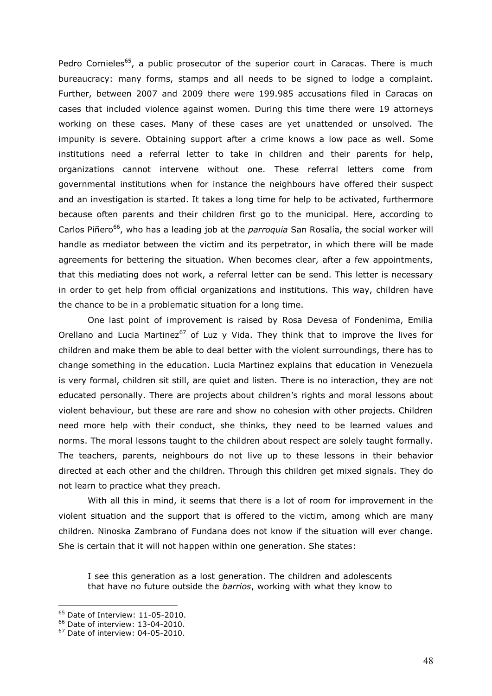Pedro Cornieles<sup>65</sup>, a public prosecutor of the superior court in Caracas. There is much bureaucracy: many forms, stamps and all needs to be signed to lodge a complaint. Further, between 2007 and 2009 there were 199.985 accusations filed in Caracas on cases that included violence against women. During this time there were 19 attorneys working on these cases. Many of these cases are yet unattended or unsolved. The impunity is severe. Obtaining support after a crime knows a low pace as well. Some institutions need a referral letter to take in children and their parents for help, organizations cannot intervene without one. These referral letters come from governmental institutions when for instance the neighbours have offered their suspect and an investigation is started. It takes a long time for help to be activated, furthermore because often parents and their children first go to the municipal. Here, according to Carlos Piñero<sup>66</sup>, who has a leading job at the *parroquia* San Rosalía, the social worker will handle as mediator between the victim and its perpetrator, in which there will be made agreements for bettering the situation. When becomes clear, after a few appointments, that this mediating does not work, a referral letter can be send. This letter is necessary in order to get help from official organizations and institutions. This way, children have the chance to be in a problematic situation for a long time.

One last point of improvement is raised by Rosa Devesa of Fondenima, Emilia Orellano and Lucia Martinez<sup>67</sup> of Luz y Vida. They think that to improve the lives for children and make them be able to deal better with the violent surroundings, there has to change something in the education. Lucia Martinez explains that education in Venezuela is very formal, children sit still, are quiet and listen. There is no interaction, they are not educated personally. There are projects about children"s rights and moral lessons about violent behaviour, but these are rare and show no cohesion with other projects. Children need more help with their conduct, she thinks, they need to be learned values and norms. The moral lessons taught to the children about respect are solely taught formally. The teachers, parents, neighbours do not live up to these lessons in their behavior directed at each other and the children. Through this children get mixed signals. They do not learn to practice what they preach.

With all this in mind, it seems that there is a lot of room for improvement in the violent situation and the support that is offered to the victim, among which are many children. Ninoska Zambrano of Fundana does not know if the situation will ever change. She is certain that it will not happen within one generation. She states:

I see this generation as a lost generation. The children and adolescents that have no future outside the *barrios*, working with what they know to

 $65$  Date of Interview: 11-05-2010.

<sup>66</sup> Date of interview: 13-04-2010.

<sup>67</sup> Date of interview: 04-05-2010.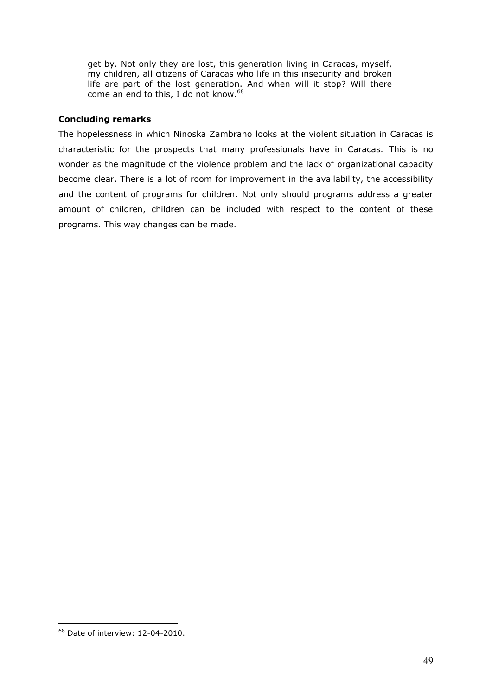get by. Not only they are lost, this generation living in Caracas, myself, my children, all citizens of Caracas who life in this insecurity and broken life are part of the lost generation. And when will it stop? Will there come an end to this, I do not know.<sup>68</sup>

## **Concluding remarks**

The hopelessness in which Ninoska Zambrano looks at the violent situation in Caracas is characteristic for the prospects that many professionals have in Caracas. This is no wonder as the magnitude of the violence problem and the lack of organizational capacity become clear. There is a lot of room for improvement in the availability, the accessibility and the content of programs for children. Not only should programs address a greater amount of children, children can be included with respect to the content of these programs. This way changes can be made.

<u>.</u>

<sup>68</sup> Date of interview: 12-04-2010.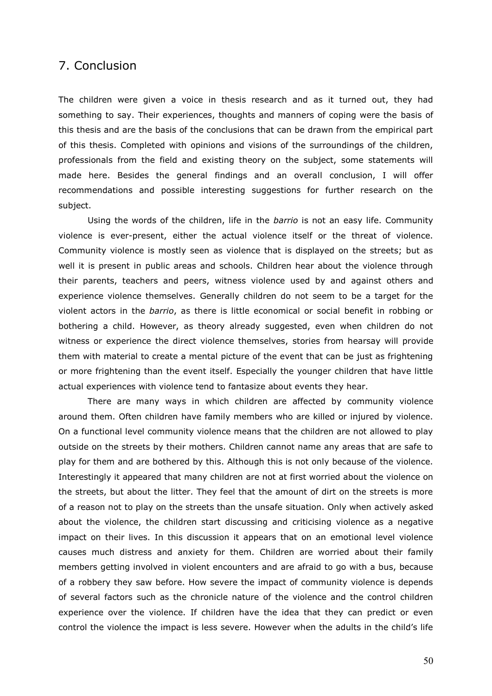## 7. Conclusion

The children were given a voice in thesis research and as it turned out, they had something to say. Their experiences, thoughts and manners of coping were the basis of this thesis and are the basis of the conclusions that can be drawn from the empirical part of this thesis. Completed with opinions and visions of the surroundings of the children, professionals from the field and existing theory on the subject, some statements will made here. Besides the general findings and an overall conclusion, I will offer recommendations and possible interesting suggestions for further research on the subject.

Using the words of the children, life in the *barrio* is not an easy life. Community violence is ever-present, either the actual violence itself or the threat of violence. Community violence is mostly seen as violence that is displayed on the streets; but as well it is present in public areas and schools. Children hear about the violence through their parents, teachers and peers, witness violence used by and against others and experience violence themselves. Generally children do not seem to be a target for the violent actors in the *barrio*, as there is little economical or social benefit in robbing or bothering a child. However, as theory already suggested, even when children do not witness or experience the direct violence themselves, stories from hearsay will provide them with material to create a mental picture of the event that can be just as frightening or more frightening than the event itself. Especially the younger children that have little actual experiences with violence tend to fantasize about events they hear.

There are many ways in which children are affected by community violence around them. Often children have family members who are killed or injured by violence. On a functional level community violence means that the children are not allowed to play outside on the streets by their mothers. Children cannot name any areas that are safe to play for them and are bothered by this. Although this is not only because of the violence. Interestingly it appeared that many children are not at first worried about the violence on the streets, but about the litter. They feel that the amount of dirt on the streets is more of a reason not to play on the streets than the unsafe situation. Only when actively asked about the violence, the children start discussing and criticising violence as a negative impact on their lives. In this discussion it appears that on an emotional level violence causes much distress and anxiety for them. Children are worried about their family members getting involved in violent encounters and are afraid to go with a bus, because of a robbery they saw before. How severe the impact of community violence is depends of several factors such as the chronicle nature of the violence and the control children experience over the violence. If children have the idea that they can predict or even control the violence the impact is less severe. However when the adults in the child"s life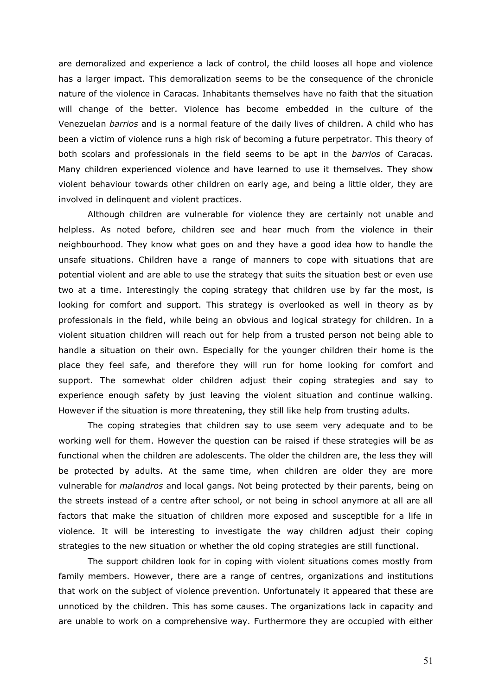are demoralized and experience a lack of control, the child looses all hope and violence has a larger impact. This demoralization seems to be the consequence of the chronicle nature of the violence in Caracas. Inhabitants themselves have no faith that the situation will change of the better. Violence has become embedded in the culture of the Venezuelan *barrios* and is a normal feature of the daily lives of children. A child who has been a victim of violence runs a high risk of becoming a future perpetrator. This theory of both scolars and professionals in the field seems to be apt in the *barrios* of Caracas. Many children experienced violence and have learned to use it themselves. They show violent behaviour towards other children on early age, and being a little older, they are involved in delinquent and violent practices.

Although children are vulnerable for violence they are certainly not unable and helpless. As noted before, children see and hear much from the violence in their neighbourhood. They know what goes on and they have a good idea how to handle the unsafe situations. Children have a range of manners to cope with situations that are potential violent and are able to use the strategy that suits the situation best or even use two at a time. Interestingly the coping strategy that children use by far the most, is looking for comfort and support. This strategy is overlooked as well in theory as by professionals in the field, while being an obvious and logical strategy for children. In a violent situation children will reach out for help from a trusted person not being able to handle a situation on their own. Especially for the younger children their home is the place they feel safe, and therefore they will run for home looking for comfort and support. The somewhat older children adjust their coping strategies and say to experience enough safety by just leaving the violent situation and continue walking. However if the situation is more threatening, they still like help from trusting adults.

The coping strategies that children say to use seem very adequate and to be working well for them. However the question can be raised if these strategies will be as functional when the children are adolescents. The older the children are, the less they will be protected by adults. At the same time, when children are older they are more vulnerable for *malandros* and local gangs. Not being protected by their parents, being on the streets instead of a centre after school, or not being in school anymore at all are all factors that make the situation of children more exposed and susceptible for a life in violence. It will be interesting to investigate the way children adjust their coping strategies to the new situation or whether the old coping strategies are still functional.

The support children look for in coping with violent situations comes mostly from family members. However, there are a range of centres, organizations and institutions that work on the subject of violence prevention. Unfortunately it appeared that these are unnoticed by the children. This has some causes. The organizations lack in capacity and are unable to work on a comprehensive way. Furthermore they are occupied with either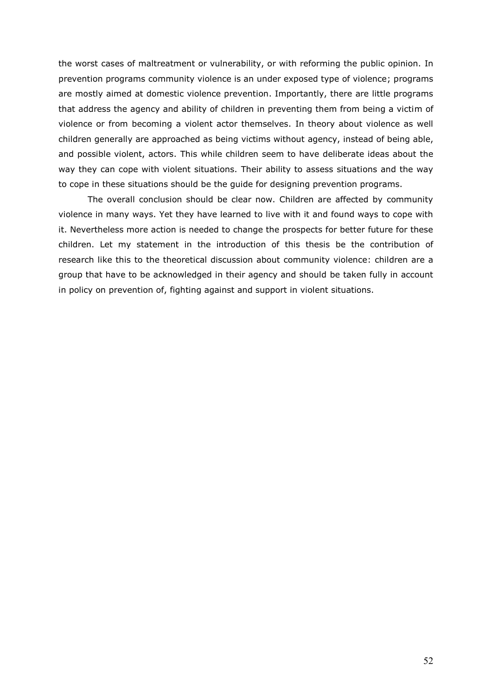the worst cases of maltreatment or vulnerability, or with reforming the public opinion. In prevention programs community violence is an under exposed type of violence; programs are mostly aimed at domestic violence prevention. Importantly, there are little programs that address the agency and ability of children in preventing them from being a victim of violence or from becoming a violent actor themselves. In theory about violence as well children generally are approached as being victims without agency, instead of being able, and possible violent, actors. This while children seem to have deliberate ideas about the way they can cope with violent situations. Their ability to assess situations and the way to cope in these situations should be the guide for designing prevention programs.

The overall conclusion should be clear now. Children are affected by community violence in many ways. Yet they have learned to live with it and found ways to cope with it. Nevertheless more action is needed to change the prospects for better future for these children. Let my statement in the introduction of this thesis be the contribution of research like this to the theoretical discussion about community violence: children are a group that have to be acknowledged in their agency and should be taken fully in account in policy on prevention of, fighting against and support in violent situations.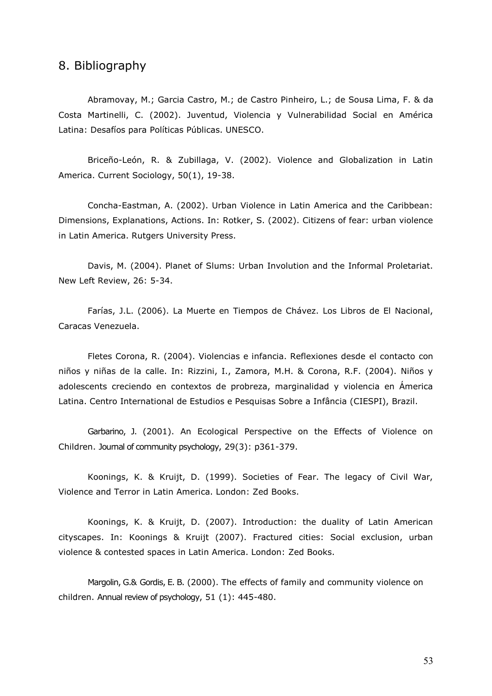## 8. Bibliography

Abramovay, M.; Garcia Castro, M.; de Castro Pinheiro, L.; de Sousa Lima, F. & da Costa Martinelli, C. (2002). Juventud, Violencia y Vulnerabilidad Social en América Latina: Desafíos para Políticas Públicas. UNESCO.

Briceño-León, R. & Zubillaga, V. (2002). Violence and Globalization in Latin America. Current Sociology, 50(1), 19-38.

Concha-Eastman, A. (2002). Urban Violence in Latin America and the Caribbean: Dimensions, Explanations, Actions. In: Rotker, S. (2002). Citizens of fear: urban violence in Latin America. Rutgers University Press.

Davis, M. (2004). Planet of Slums: Urban Involution and the Informal Proletariat. New Left Review, 26: 5-34.

Farías, J.L. (2006). La Muerte en Tiempos de Chávez. Los Libros de El Nacional, Caracas Venezuela.

Fletes Corona, R. (2004). Violencias e infancia. Reflexiones desde el contacto con niños y niñas de la calle. In: Rizzini, I., Zamora, M.H. & Corona, R.F. (2004). Niños y adolescents creciendo en contextos de probreza, marginalidad y violencia en Ámerica Latina. Centro International de Estudios e Pesquisas Sobre a Infância (CIESPI), Brazil.

Garbarino, J. (2001). An Ecological Perspective on the Effects of Violence on Children. Journal of community psychology, 29(3): p361-379.

Koonings, K. & Kruijt, D. (1999). Societies of Fear. The legacy of Civil War, Violence and Terror in Latin America. London: Zed Books.

Koonings, K. & Kruijt, D. (2007). Introduction: the duality of Latin American cityscapes. In: Koonings & Kruijt (2007). Fractured cities: Social exclusion, urban violence & contested spaces in Latin America. London: Zed Books.

Margolin, G.& Gordis, E. B. (2000). The effects of family and community violence on children. Annual review of psychology, 51 (1): 445-480.